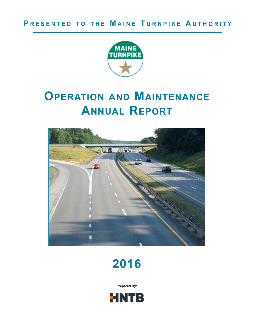

# **Operation and Maintenance Annual Report**





**Prepared By:**

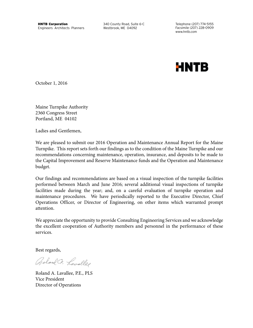www.hntb.com

**HNTB** 

October 1, 2016

Maine Turnpike Authority 2360 Congress Street Portland, ME 04102

Ladies and Gentlemen,

We are pleased to submit our 2016 Operation and Maintenance Annual Report for the Maine Turnpike. This report sets forth our findings as to the condition of the Maine Turnpike and our recommendations concerning maintenance, operation, insurance, and deposits to be made to the Capital Improvement and Reserve Maintenance funds and the Operation and Maintenance budget.

Our findings and recommendations are based on a visual inspection of the turnpike facilities performed between March and June 2016; several additional visual inspections of turnpike facilities made during the year; and, on a careful evaluation of turnpike operation and maintenance procedures. We have periodically reported to the Executive Director, Chief Operations Officer, or Director of Engineering, on other items which warranted prompt attention.

We appreciate the opportunity to provide Consulting Engineering Services and we acknowledge the excellent cooperation of Authority members and personnel in the performance of these services.

Best regards,

Golond Co. Lavalles

Roland A. Lavallee, P.E., PLS Vice President Director of Operations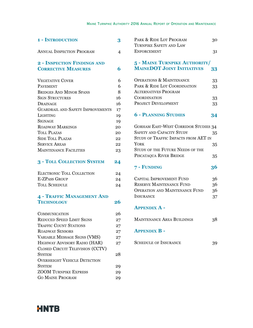| <b>1 - INTRODUCTION</b>                  | 3  |
|------------------------------------------|----|
| <b>ANNUAL INSPECTION PROGRAM</b>         | 4  |
| 2 - INSPECTION FINDINGS AND              |    |
| <b>CORRECTIVE MEASURES</b>               | 6  |
| <b>VEGETATIVE COVER</b>                  | 6  |
| PAVEMENT                                 | 6  |
| <b>BRIDGES AND MINOR SPANS</b>           | 8  |
| <b>SIGN STRUCTURES</b>                   | 16 |
| DRAINAGE                                 | 16 |
| <b>GUARDRAIL AND SAFETY IMPROVEMENTS</b> | 17 |
| <b>LIGHTING</b>                          | 19 |
| <b>SIGNAGE</b>                           | 19 |
| ROADWAY MARKINGS                         | 20 |
| TOLL PLAZAS                              | 20 |
| <b>SIDE TOLL PLAZAS</b>                  | 22 |
| <b>SERVICE AREAS</b>                     | 22 |
| <b>MAINTENANCE FACILITIES</b>            | 23 |

## **3 - Toll Collection System 24**

| <b>ELECTRONIC TOLL COLLECTION</b> | 24 |
|-----------------------------------|----|
| E-ZPASS GROUP                     | 24 |
| TOLL SCHEDULE                     | 24 |

## **4 - Traffic Management And** TECHNOLOGY 26

| <b>COMMUNICATION</b>                    | 26 |
|-----------------------------------------|----|
| <b>REDUCED SPEED LIMIT SIGNS</b>        | 27 |
| <b>TRAFFIC COUNT STATIONS</b>           | 27 |
| <b>ROADWAY SENSORS</b>                  | 27 |
| VARIABLE MESSAGE SIGNS (VMS)            | 27 |
| HIGHWAY ADVISORY RADIO (HAR)            | 27 |
| <b>CLOSED CIRCUIT TELEVISION (CCTV)</b> |    |
| <b>SYSTEM</b>                           | 28 |
| <b>OVERHEIGHT VEHICLE DETECTION</b>     |    |
| <b>SYSTEM</b>                           | 29 |
| <b>ZOOM TURNPIKE EXPRESS</b>            | 29 |
| <b>GO MAINE PROGRAM</b>                 | 29 |

| PARK & RIDE LOT PROGRAM | 30  |
|-------------------------|-----|
| TURNPIKE SAFETY AND LAW |     |
| <b>ENFORCEMENT</b>      | -31 |

## **5 - Maine Turnpike Authority/ MaineDOT Joint Initiatives 33**

| <b>OPERATIONS &amp; MAINTENANCE</b> | 33 |
|-------------------------------------|----|
| PARK & RIDE LOT COORDINATION        | 33 |
| ALTERNATIVES PROGRAM                |    |
| <b>COORDINATION</b>                 | 33 |
| <b>PROJECT DEVELOPMENT</b>          | २२ |

## **6 - Planning Studies 34**

| <b>GORHAM EAST-WEST CORRIDOR STUDIES 34</b> |    |
|---------------------------------------------|----|
| SAFETY AND CAPACITY STUDY                   | 35 |
| STUDY OF TRAFFIC IMPACTS FROM AET IN        |    |
| <b>YORK</b>                                 | 35 |
| STUDY OF THE FUTURE NEEDS OF THE            |    |
| PISCATAQUA RIVER BRIDGE                     |    |

## **7 - Funding 36**

| CAPITAL IMPROVEMENT FUND              | 36 |
|---------------------------------------|----|
| RESERVE MAINTENANCE FUND              | 36 |
| <b>OPERATION AND MAINTENANCE FUND</b> | 36 |
| <b>INSURANCE</b>                      | 37 |

## **Appendix A -**

| <b>MAINTENANCE AREA BUILDINGS</b> | 38 |
|-----------------------------------|----|
|-----------------------------------|----|

## **Appendix B -**

| <b>SCHEDULE OF INSURANCE</b> |  |
|------------------------------|--|
|------------------------------|--|

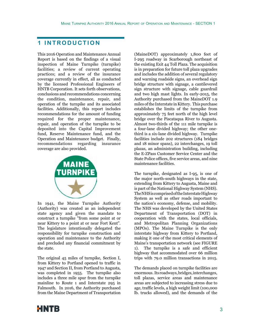## **1 INTRODUCTION**

This 2016 Operation and Maintenance Annual Report is based on the findings of a visual inspection of Maine Turnpike (turnpike) facilities; a review of current operating practices; and a review of the insurance coverage currently in effect, all as conducted by the licensed Professional Engineers of HNTB Corporation. It sets forth observations, conclusions and recommendations concerning the condition, maintenance, repair, and operation of the turnpike and its associated facilities. Additionally, this report includes recommendations for the amount of funding required for the proper maintenance, repair, and operation of the turnpike to be deposited into the Capital Improvement fund, Reserve Maintenance fund, and the Operation and Maintenance budget. Finally, recommendations regarding insurance coverage are also provided.



In 1941, the Maine Turnpike Authority (Authority) was created as an independent state agency and given the mandate to construct a turnpike "from some point at or near Kittery to a point at or near Fort Kent". The legislature intentionally delegated the responsibility for turnpike construction and operation and maintenance to the Authority and precluded any financial commitment by the state.

The original 45 miles of turnpike, Section I, from Kittery to Portland opened to traffic in 1947 and Section II, from Portland to Augusta, was completed in 1955. The turnpike also includes a three mile spur from the turnpike mainline to Route 1 and Interstate 295 in Falmouth. In 2016, the Authority purchased from the Maine Department of Transportation

(MaineDOT) approximately 1,800 feet of I-295 roadway in Scarborough northeast of the existing Exit 44 Toll Plaza. The acquisition is in preparation for future toll plaza upgrades and includes the addition of several regulatory and warning roadside signs, an overhead sign bridge structure with signage, a cantilevered sign structure with signage, cable guardrail and two high mast lights. In early-2015, the Authority purchased from the MaineDOT 1.9 miles of the Interstate in Kittery. This purchase establishes the limits of the turnpike from approximately 75 feet north of the high level bridge over the Piscataqua River to Augusta. Almost two-thirds of the 111 mile turnpike is a four-lane divided highway; the other onethird is a six-lane divided highway. Turnpike facilities include 202 structures (184 bridges and 18 minor spans), 22 interchanges, 19 toll plazas, an administration building, including the E-ZPass Customer Service Center and the State Police offices, five service areas, and nine maintenance facilities.

The turnpike, designated as I-95, is one of the major north-south highways in the state, extending from Kittery to Augusta, Maine and is part of the National Highway System (NHS). The NHS is comprised of the Interstate Highway System as well as other roads important to the nation's economy, defense, and mobility. The NHS was developed by the United States Department of Transportation (DOT) in cooperation with the states, local officials, and Metropolitan Planning Organizations (MPOs). The Maine Turnpike is the only interstate highway from Kittery to Portland, making it one of the most critical elements of Maine's transportation network (see FIGURE 1). The turnpike is a safe and efficient highway that accommodated over 66 million trips with 79.0 million transactions in 2015.

The demands placed on turnpike facilities are enormous. Its roadways, bridges, interchanges, toll plazas, service areas and maintenance areas are subjected to increasing stress due to age, traffic levels, a high weight limit (100,000 lb. trucks allowed), and the demands of the

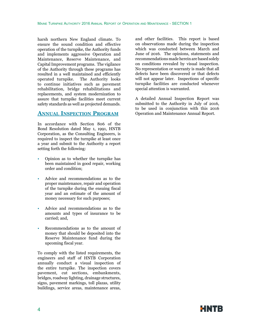harsh northern New England climate. To ensure the sound condition and effective operation of the turnpike, the Authority funds and implements aggressive Operation and Maintenance, Reserve Maintenance, and Capital Improvement programs. The vigilance of the Authority through these programs has resulted in a well maintained and efficiently operated turnpike. The Authority looks to continue initiatives such as pavement rehabilitation, bridge rehabilitations and replacements, and system modernization to assure that turnpike facilities meet current safety standards as well as projected demands.

## **Annual Inspection Program**

In accordance with Section 806 of the Bond Resolution dated May 1, 1991, HNTB Corporation, as the Consulting Engineers, is required to inspect the turnpike at least once a year and submit to the Authority a report setting forth the following:

- Opinion as to whether the turnpike has been maintained in good repair, working order and condition;
- Advice and recommendations as to the proper maintenance, repair and operation of the turnpike during the ensuing fiscal year and an estimate of the amount of money necessary for such purposes;
- Advice and recommendations as to the amounts and types of insurance to be carried; and,
- Recommendations as to the amount of money that should be deposited into the Reserve Maintenance fund during the upcoming fiscal year.

To comply with the listed requirements, the engineers and staff of HNTB Corporation annually conduct a visual inspection of the entire turnpike. The inspection covers pavement, cut sections, embankments, bridges, roadway lighting, drainage structures, signs, pavement markings, toll plazas, utility buildings, service areas, maintenance areas,

and other facilities. This report is based on observations made during the inspection which was conducted between March and June of 2016. The opinions, statements and recommendations made herein are based solely on conditions revealed by visual inspection. No representation or warranty is made that all defects have been discovered or that defects will not appear later. Inspections of specific turnpike facilities are conducted whenever special attention is warranted.

A detailed Annual Inspection Report was submitted to the Authority in July of 2016, to be used in conjunction with this 2016 Operation and Maintenance Annual Report.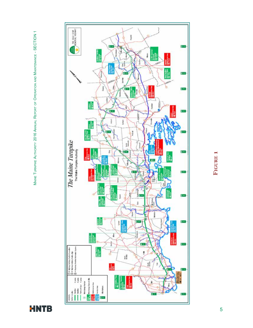

**HNTB** 

# **Figure 1 FIGURE 1**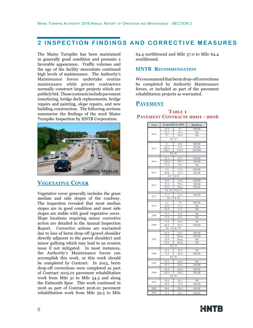## **2 INSPECTION FINDINGS AND CORRECTIVE MEASURES**

The Maine Turnpike has been maintained in generally good condition and presents a favorable appearance. Traffic volumes and the age of the facility necessitate continued high levels of maintenance. The Authority's Maintenance forces undertake routine maintenance while private contractors normally construct larger projects which are publicly bid. These contracts include pavement resurfacing, bridge deck replacements, bridge repairs and painting, slope repairs, and new building construction. The following sections summarize the findings of the 2016 Maine Turnpike Inspection by HNTB Corporation.



## **Vegetative Cover**

Vegetative cover generally includes the grass median and side slopes of the roadway. The inspection revealed that most median slopes are in good condition and most side slopes are stable with good vegetative cover. Slope locations requiring minor corrective action are detailed in the Annual Inspection Report. Corrective actions are warranted due to loss of berm drop-off (gravel shoulder directly adjacent to the paved shoulder) and minor gullying which may lead to an erosion issue if not mitigated. In most instances, the Authority's Maintenance forces can accomplish this work, or this work should be completed by Contract. In 2015, berm drop-off corrections were completed as part of Contract 2015.01 pavement rehabilitation work from Mile 51 to Mile 54.5 and along the Falmouth Spur. This work continued in 2016 as part of Contract 2016.01 pavement rehabilitation work from Mile 59.5 to Mile 64.4 northbound and Mile 57.0 to Mile 64.4 southbound.

#### **HNTB Recommendation**

We recommend that berm drop-off corrections be completed by Authority Maintenance forces, or included as part of the pavement rehabilitation projects as warranted.

## **Pavement**

#### **TABLE 1 Pavement Contracts 2001 - 2016**

| Year | From MM To MM |                  | <b>Roadway</b> |
|------|---------------|------------------|----------------|
|      | 54.5          | 57               | NB/SB          |
|      | 59.5          | 64.4             | NB             |
| 2016 | 57            | 64.4             | SB             |
|      |               | Int. 63          |                |
|      | 51            | 54.5             | NB/SB          |
|      | 68.5          | 74.9             | NB/SB          |
| 2015 | FS0.5         | <b>FS3.8</b>     | EB/WB          |
|      |               | Int. 46          |                |
|      | 23.3          | 30.3             | NB/SB          |
| 2014 | 102.6         | 109.1            | NB/SB          |
|      | 57.0          | 59.5             | NB             |
|      | 7.4           | 13.5             | NB/SB          |
| 2013 | 88.0          | 92.0             | NB/SB          |
|      |               | Int. 7 & 44      |                |
|      | 30.0          | 35.0             | NB/SB          |
|      | 92.0          | 98.0             | NB/SB          |
| 2012 | 102.0         | Plaza            | NB/SB          |
|      |               | Int. 42, 45 & 53 |                |
|      | 13.3          | 23.3             | NB/SB          |
| 2011 |               | Int. 19 & 48     |                |
|      |               |                  |                |
|      | 2.2           | 7.0              | NB/SB          |
| 2010 | 44.0          | 51.2             | SB             |
|      | 45.0          | 51.2             | NB             |
| 2009 | 35.3          | 43.9             | SB             |
|      | 35.4          | 44.5             | NB             |
|      | 57.0          | 64.4             | SB             |
| 2008 | 80.8          | 85.2             | NB/SB          |
|      | Int.          | 102 & 103        |                |
|      | 64.4          | 68.5             | NB/SB          |
|      | 25.0          | Plaza            | NB/SB          |
| 2007 | 58.0          | Plaza            | SB             |
|      | 59.0          | Plaza            | NB             |
|      | Int. 36       |                  |                |
|      | 45.3          | 45.8             | SB             |
| 2006 | 74.9          | 80.8             | NB/SB          |
|      | Int.          | 80               |                |
| 2005 | 59.4          | 64.8             | NB             |
|      | 85.2          | 88.6             | NB/SB          |
|      | 98.0          | 102.6            | NB/SB          |
| 2004 | 102.6         | 109.1            | NB/SB          |
|      | Int. $86$     |                  |                |
|      | 56.6          | 58.3             | NB             |
| 2003 | 68.4          | 74.9             | NB/SB          |
|      |               |                  |                |
| 2002 | 99.6          | 106.2            | NB/SB          |
| 2001 | 25.4          | 28.4             | NB/SB          |

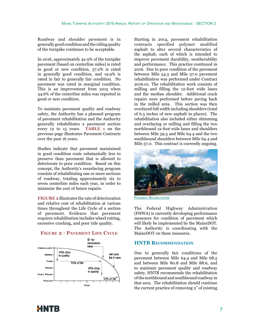Roadway and shoulder pavement is in generally good condition and the riding quality of the turnpike continues to be acceptable.

In 2016, approximately 42.9% of the turnpike pavement (based on centerline miles) is rated in good or new condition, 37.2% is rated in generally good condition, and 19.9% is rated in fair to generally fair condition. No pavement was rated in marginal condition. This is an improvement from 2015 when 34.6% of the centerline miles was reported in good or new condition.

To maintain pavement quality and roadway safety, the Authority has a planned program of pavement rehabilitation and the Authority generally rehabilitates a pavement section every 12 to 15 years. **TABLE 1** on the previous page illustrates Pavement Contracts over the past 16 years.

Studies indicate that pavement maintained in good condition costs substantially less to preserve than pavement that is allowed to deteriorate to poor condition. Based on this concept, the Authority's resurfacing program consists of rehabilitating one or more sections of roadway, totaling approximately six to seven centerline miles each year, in order to minimize the cost of future repairs.

**FIGURE 2** illustrates the rate of deterioration and relative cost of rehabilitation at various times throughout the Life Cycle of a section of pavement. Evidence that pavement requires rehabilitation includes wheel rutting, excessive cracking, and poor ride quality.



#### **Figure 2 - Pavement Life Cycle**

Starting in 2014, pavement rehabilitation contracts specified polymer modified asphalt to alter several characteristics of the asphalt, each of which is intended to improve pavement durability, weatherability and performance. This practice continued in 2016. Due to poor condition of the pavement between Mile 54.5 and Mile 57.0 pavement rehabilitation was performed under Contract 2016.01. The rehabilitation work consists of milling and filling the 12-foot wide lanes and the median shoulder. Additional crack repairs were performed before paving back in the milled area. This section was then overlayed full width including shoulders (total of 6.5 inches of new asphalt in places). The rehabilitation also included either shimming and overlaying or milling and filling the two northbound 12-foot wide lanes and shoulders between Mile 59.5 and Mile 64.4 and the two southbound shoulders between Mile 64.4 and Mile 57.0. This contract is currently ongoing.



PAVEMENT REHABILITATION

The Federal Highway Administration (FHWA) is currently developing performance measures for condition of pavement which will likely be implemented by the MaineDOT. The Authority is coordinating with the MaineDOT on these measures.

#### **HNTB Recommendation**

Due to generally fair conditions of the pavement between Mile 64.4 and Mile 68.5 and between Mile 80.8 and Mile 88.6, and to maintain pavement quality and roadway safety, HNTB recommends the rehabilitation of the northbound and southbound roadway in that area. The rehabilitation should continue the current practice of removing 2" of existing

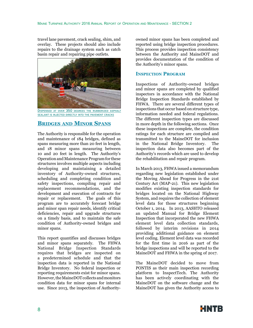travel lane pavement, crack sealing, shim, and overlay. These projects should also include repairs to the drainage system such as catch basin repair and repairing pipe outlets.



DISPENSED AT OVER 350 DEGREES THE RUBBERIZED ASPHALT sealant is injected directly into the pavement cracks

## **Bridges and Minor Spans**

The Authority is responsible for the operation and maintenance of 184 bridges, defined as spans measuring more than 20 feet in length, and 18 minor spans measuring between 10 and 20 feet in length. The Authority's Operation and Maintenance Program for these structures involves multiple aspects including developing and maintaining a detailed inventory of Authority-owned structures, scheduling and completing condition and safety inspections, compiling repair and replacement recommendations, and the development and execution of contracts for repair or replacement. The goals of this program are to accurately forecast bridge and minor span repair needs, identify critical deficiencies, repair and upgrade structures on a timely basis, and to maintain the safe condition of Authority-owned bridges and minor spans.

This report quantifies and discusses bridges and minor spans separately. The FHWA National Bridge Inspection Standards requires that bridges are inspected on a predetermined schedule and that the inspection data is reported in the National Bridge Inventory. No federal inspection or reporting requirements exist for minor spans. However, the MaineDOT collects and monitors condition data for minor spans for internal use. Since 2013, the inspection of Authorityowned minor spans has been completed and reported using bridge inspection procedures. This process provides inspection consistency between the Authority and MaineDOT and provides documentation of the condition of the Authority's minor spans.

## **Inspection Program**

Inspections of Authority-owned bridges and minor spans are completed by qualified inspectors in accordance with the National Bridge Inspection Standards established by FHWA. There are several different types of inspections that occur based on structure type, information needed and federal regulations. The different inspection types are discussed in more depth in the following sections. Once these inspections are complete, the condition ratings for each structure are compiled and transmitted to the MaineDOT for inclusion in the National Bridge Inventory. The inspection data also becomes part of the Authority's records which are used to develop the rehabilitation and repair program.

In March 2013, FHWA issued a memorandum regarding new legislation established under the Moving Ahead for Progress in the 21st Century Act (MAP-21). This new legislation modifies existing inspection standards for bridges located on the National Highway System, and requires the collection of element level data for those structures beginning October 1, 2014. In 2013, AASHTO released an updated Manual for Bridge Element Inspection that incorporated the new FHWA element level data collection standards, followed by interim revisions in 2014 providing additional guidance on element level coding. Element level data was recorded for the first time in 2016 as part of the bridge inspections and will be reported to the MaineDOT and FHWA in the spring of 2017.

The MaineDOT decided to move from PONTIS as their main inspection recording platform to InspectTech. The Authority has been actively coordinating with the MaineDOT on the software change and the MaineDOT has given the Authority access to

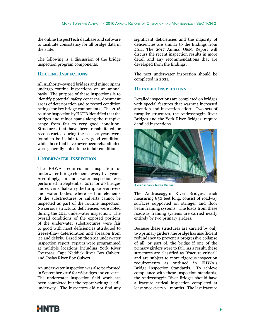the online InspectTech database and software to facilitate consistency for all bridge data in the state.

The following is a discussion of the bridge inspection program components:

## **Routine Inspections**

All Authority-owned bridges and minor spans undergo routine inspections on an annual basis. The purpose of these inspections is to identify potential safety concerns, document areas of deterioration and to record condition ratings for key bridge components. The 2016 routine inspection by HNTB identified that the bridges and minor spans along the turnpike range from fair to very good condition. Structures that have been rehabilitated or reconstructed during the past 20 years were found to be in fair to very good condition, while those that have never been rehabilitated were generally noted to be in fair condition.

## **Underwater Inspection**

The FHWA requires an inspection of underwater bridge elements every five years. Accordingly, an underwater inspection was performed in September 2011 for 26 bridges and culverts that carry the turnpike over rivers and water bodies where certain elements of the substructures or culverts cannot be inspected as part of the routine inspection. No serious structural deficiencies were noted during the 2011 underwater inspection. The overall conditions of the exposed portions of the underwater substructures were fair to good with most deficiencies attributed to freeze-thaw deterioration and abrasion from ice and debris. Based on the 2011 underwater inspection report, repairs were programmed at multiple locations including York River Overpass, Cape Neddick River Box Culvert, and Josias River Box Culvert.

An underwater inspection was also performed in September 2016 for 26 bridges and culverts. The underwater inspection field work has been completed but the report writing is still underway. The inspectors did not find any significant deficiencies and the majority of deficiencies are similar to the findings from 2011. The 2017 Annual O&M Report will discuss the recent inspection results in more detail and any recommendations that are developed from the findings.

The next underwater inspection should be completed in 2021.

## **Detailed Inspections**

Detailed inspections are completed on bridges with special features that warrant increased attention and inspection effort. Two sets of turnpike structures, the Androscoggin River Bridges and the York River Bridges, require detailed inspections.



Androscoggin River Bridge

The Androscoggin River Bridges, each measuring 850 feet long, consist of roadway surfaces supported on stringer and floor beam framing systems. The loads from these roadway framing systems are carried nearly entirely by two primary girders.

Because these structures are carried by only two primary girders, the bridge has insufficient redundancy to prevent a progressive collapse of all, or part of, the bridge if one of the primary girders were to fail. As a result, these structures are classified as "fracture critical" and are subject to more rigorous inspection requirements as outlined in FHWA's Bridge Inspection Standards. To achieve compliance with these inspection standards, the Androscoggin River Bridges should have a fracture critical inspection completed at least once every 24 months. The last fracture

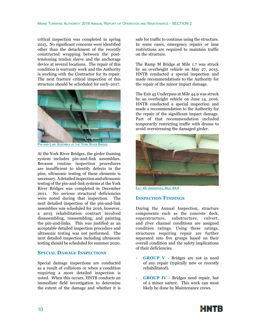critical inspection was completed in spring 2015. No significant concerns were identified other than the detachment of the recently constructed wrapping between the posttensioning tendon sleeve and the anchorage device at several locations. The repair of this condition is warranty work and the Authority is working with the Contractor for its repair. The next fracture critical inspection of this structure should be scheduled for early-2017.



Pin-and-Link Assembly at the York River Bridge

At the York River Bridges, the girder framing system includes pin-and-link assemblies. Because routine inspection procedures are insufficient to identify defects in the pins, ultrasonic testing of these elements is necessary. A detailed inspection and ultrasonic testing of the pin-and-link systems at the York River Bridges was completed in December 2011. No serious structural deficiencies were noted during that inspection. The next detailed inspection of the pin-and-link assemblies was scheduled for 2016, however, a 2015 rehabilitation contract involved disassembling, reassembling, and painting the pin-and-links. This was justified as an acceptable detailed inspection procedure and ultrasonic testing was not performed. The next detailed inspection including ultrasonic testing should be scheduled for summer 2020.

## **Special Damage Inspections**

Special damage inspections are conducted as a result of collisions or when a condition requiring a more detailed inspection is noted. When this occurs, HNTB conducts an immediate field investigation to determine the extent of the damage and whether it is

safe for traffic to continue using the structure. In some cases, emergency repairs or lane restrictions are required to maintain traffic on the structure.

The Ramp M Bridge at Mile 1.7 was struck by an overheight vehicle on May 27, 2015. HNTB conducted a special inspection and made recommendations to the Authority for the repair of the minor impact damage.

The Exit 45 Underpass at Mile 44.9 was struck by an overheight vehicle on June 14, 2016. HNTB conducted a special inspection and made a recommendation to the Authority for the repair of the significant impact damage. Part of that recommendation included temporarily restricting traffic with drums to avoid overstressing the damaged girder.



EXIT 45 UNDERPASS, MILE 44.9

## **Inspection Findings**

During the Annual Inspection, structure components such as the concrete deck, superstructure, substructure, culvert, and river channel conditions are assigned condition ratings. Using these ratings, structures requiring repair are further separated into five groups based on their overall condition and the safety implications of their deficiencies.

- **- GROUP V** Bridges are not in need of any repair (typically new or recently rehabilitated).
- **- GROUP IV** Bridges need repair, but of a minor nature. This work can most likely be done by Maintenance crews.

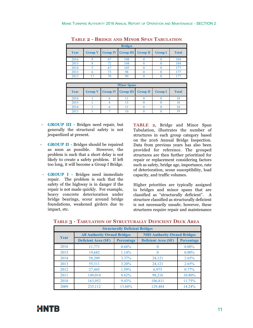| <b>Bridges</b> |                |    |                                        |  |                |              |
|----------------|----------------|----|----------------------------------------|--|----------------|--------------|
| Year           | <b>Group V</b> |    | <b>Group IV   Group III   Group II</b> |  | <b>Group I</b> | <b>Total</b> |
| 2016           |                |    | 108                                    |  |                | 184          |
| 2015           |                | 72 | 104                                    |  |                | 184          |
| 2014           |                | 67 | 105                                    |  |                |              |
| 2013           |                | 73 | 98                                     |  |                |              |
| 2012           |                | 70 |                                        |  |                |              |

**Table 2 - Bridge and Minor Span Tabulation**

|      |  | <b>Minor Spans</b>                         |                |              |
|------|--|--------------------------------------------|----------------|--------------|
| Year |  | <b>Group V</b> Group IV Group III Group II | <b>Group I</b> | <b>Total</b> |
| 2016 |  |                                            |                |              |
| 2015 |  |                                            |                |              |
| 2014 |  |                                            |                |              |
| 2013 |  |                                            |                |              |

- **- GROUP III** Bridges need repair, but generally the structural safety is not jeopardized at present.
- **GROUP II Bridges should be repaired** as soon as possible. However, the problem is such that a short delay is not likely to create a safety problem. If left too long, it will become a Group I Bridge.
- **- GROUP I** Bridges need immediate repair. The problem is such that the safety of the highway is in danger if the repair is not made quickly. For example, heavy concrete deterioration under bridge bearings, scour around bridge foundations, weakened girders due to impact, etc.

**TABLE 2**, Bridge and Minor Span Tabulation, illustrates the number of structures in each group category based on the 2016 Annual Bridge Inspection. Data from previous years has also been provided for reference. The grouped structures are then further prioritized for repair or replacement considering factors such as safety, bridge age, importance, rate of deterioration, scour susceptibility, load capacity, and traffic volumes.

Higher priorities are typically assigned to bridges and minor spans that are classified as "structurally deficient". A structure classified as structurally deficient is not necessarily unsafe; however, these structures require repair and maintenance

| <b>Structurally Deficient Bridges</b> |                                    |                   |                                    |                   |  |  |  |  |  |
|---------------------------------------|------------------------------------|-------------------|------------------------------------|-------------------|--|--|--|--|--|
|                                       | <b>All Authority Owned Bridges</b> |                   | <b>NHS Authority Owned Bridges</b> |                   |  |  |  |  |  |
| Year                                  | <b>Deficient Area (SF)</b>         | <b>Percentage</b> | <b>Deficient Area (SF)</b>         | <b>Percentage</b> |  |  |  |  |  |
| 2016                                  | 11,771                             | $0.68\%$          | $\left($                           | $0.00\%$          |  |  |  |  |  |
| 2015                                  | 19,682                             | 1.14%             | $\Omega$                           | $0.00\%$          |  |  |  |  |  |
| 2014                                  | 58,209                             | $3.37\%$          | 24,121                             | 2.65%             |  |  |  |  |  |
| 2013                                  | 55,311                             | 3.20%             | 24,121                             | 2.65%             |  |  |  |  |  |
| 2012                                  | 27,445                             | 1.59%             | 6,975                              | $0.77\%$          |  |  |  |  |  |
| 2011                                  | 149,014                            | 8.62%             | 98,216                             | 10.80%            |  |  |  |  |  |
| 2010                                  | 163,052                            | 9.43%             | 106,811                            | 11.75%            |  |  |  |  |  |
| 2009                                  | 235,112                            | 13.60%            | 129,484                            | 14.24%            |  |  |  |  |  |

**Table 3 - Tabulation of Structurally Deficient Deck Area**

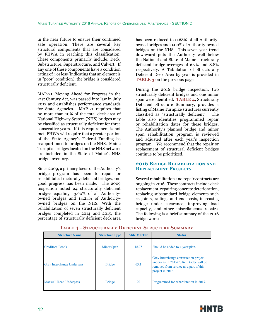in the near future to ensure their continued safe operation. There are several key structural components that are considered by FHWA in reaching this classification. These components primarily include: Deck, Substructure, Superstructure, and Culvert. If any one of these components have a condition rating of 4 or less (indicating that an element is in "poor" condition), the bridge is considered structurally deficient.

MAP-21, Moving Ahead for Progress in the 21st Century Act, was passed into law in July 2012 and establishes performance standards for State Agencies. MAP-21 requires that no more than 10% of the total deck area of National Highway System (NHS) bridges may be classified as structurally deficient for three consecutive years. If this requirement is not met, FHWA will require that a greater portion of the State Agency's Federal Funding be reapportioned to bridges on the NHS. Maine Turnpike bridges located on the NHS network are included in the State of Maine's NHS bridge inventory.

Since 2009, a primary focus of the Authority's bridge program has been to repair or rehabilitate structurally deficient bridges, and good progress has been made. The 2009 inspection noted 24 structurally deficient bridges equaling 13.60% of all Authorityowned bridges and 14.24% of Authorityowned bridges on the NHS. With the rehabilitation of seven structurally deficient bridges completed in 2014 and 2015, the percentage of structurally deficient deck area has been reduced to 0.68% of all Authorityowned bridges and 0.00% of Authority-owned bridges on the NHS. This seven year trend downward puts the Authority well below the National and State of Maine structurally deficient bridge averages of 6.7% and 8.8% respectively. A Tabulation of Structurally Deficient Deck Area by year is provided in **TABLE 3** on the previous page.

During the 2016 bridge inspection, two structurally deficient bridges and one minor span were identified. **TABLE 4**, Structurally Deficient Structure Summary, provides a listing of Maine Turnpike structures currently classified as "structurally deficient". The table also identifies programmed repair or rehabilitation dates for these bridges. The Authority's planned bridge and minor span rehabilitation program is reviewed and adjusted after each year's inspection program. We recommend that the repair or replacement of structural deficient bridges continue to be prioritized.

## **2016 Bridge Rehabilitation and Replacement Projects**

Several rehabilitation and repair contracts are ongoing in 2016. These contracts include deck replacement, repairing concrete deterioration, replacing substandard bridge elements such as joints, railings and end posts, increasing bridge under clearance, improving load capacity, and other miscellaneous repairs. The following is a brief summary of the 2016 bridge work:

| <b>Structure Name</b>             | <b>Structure Type</b> | <b>Mile Marker</b> | <b>Status</b>                                                                                                                                |
|-----------------------------------|-----------------------|--------------------|----------------------------------------------------------------------------------------------------------------------------------------------|
| <b>Crediford Brook</b>            | Minor Span            | 18.75              | Should be added to 4-year plan.                                                                                                              |
| <b>Gray Interchange Underpass</b> | <b>Bridge</b>         | 63.1               | Gray Interchange construction project<br>underway in 2015/2016. Bridge will be<br>removed from service as a part of this<br>project in 2016. |
| <b>Maxwell Road Underpass</b>     | <b>Bridge</b>         | 90                 | Programmed for rehabilitation in 2017.                                                                                                       |

## **Table 4 - Structurally Deficient Structure Summary**

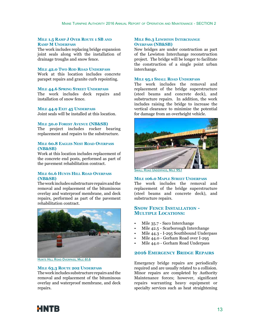#### **Mile 1.5 Ramp J Over Route 1 SB and Ramp M Underpass**

The work includes replacing bridge expansion joint seals along with the installation of drainage troughs and snow fence.

#### **Mile 42.0 Two Rod Road Underpass**

Work at this location includes concrete parapet repairs and granite curb repointing.

#### **Mile 44.6 Spring Street Underpass**

The work includes deck repairs and installation of snow fence.

#### **MILE 44.9 EXIT 45 UNDERPASS**

Joint seals will be installed at this location.

#### **Mile 50.0 Forest Avenue (NB&SB)**

The project includes rocker bearing replacement and repairs to the substructure.

#### **Mile 60.8 Eagles Nest Road Overpass (NB&SB)**

Work at this location includes replacement of the concrete end posts, performed as part of the pavement rehabilitation contract.

#### **Mile 61.6 Hunts Hill Road Overpass (NB&SB)**

The work includes substructure repairs and the removal and replacement of the bituminous overlay and waterproof membrane, and deck repairs, performed as part of the pavement rehabilitation contract.



HUNTS HILL ROAD OVERPASS, MILE 61.6

#### **Mile 63.3 Route 202 Underpass**

The work includes substructure repairs and the removal and replacement of the bituminous overlay and waterproof membrane, and deck repairs.

#### **Mile 80.3 Lewiston Interchange Overpass (NB&SB)**

New bridges are under construction as part of the Lewiston Interchange reconstruction project. The bridge will be longer to facilitate the construction of a single point urban interchange.

#### **Mile 95.1 Small Road Underpass**

The work includes the removal and replacement of the bridge superstructure (steel beams and concrete deck), and substructure repairs. In addition, the work includes raising the bridge to increase the vertical clearance to minimize the potential for damage from an overheight vehicle.



MALL ROAD UNDERPASS, MILE 95

#### **Mile 106.0 Maple Street Underpass**

The work includes the removal and replacement of the bridge superstructure (steel beams and concrete deck), and substructure repairs.

## **Snow Fence Installation - Multiple Locations:**

- Mile 35.7 Saco Interchange
- Mile 42.5 Scarborough Interchange
- Mile 44.3 I-295 Southbound Underpass
- Mile 44.0 Gorham Road over I-295
- Mile 44.0 Gorham Road Underpass

#### **2016 Emergency Bridge Repairs**

Emergency bridge repairs are periodically required and are usually related to a collision. Minor repairs are completed by Authority Maintenance forces; however, significant repairs warranting heavy equipment or specialty services such as heat straightening

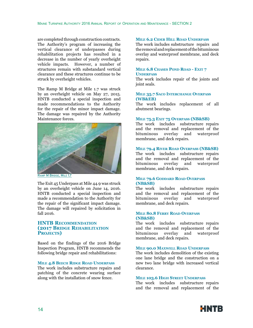are completed through construction contracts. The Authority's program of increasing the vertical clearance of underpasses during rehabilitation projects has resulted in a decrease in the number of yearly overheight vehicle impacts. However, a number of structures remain with substandard vertical clearance and these structures continue to be struck by overheight vehicles.

The Ramp M Bridge at Mile 1.7 was struck by an overheight vehicle on May 27, 2015. HNTB conducted a special inspection and made recommendations to the Authority for the repair of the minor impact damage. The damage was repaired by the Authority Maintenance forces.



RAMP M BRIDGE, MILE 1.7

The Exit 45 Underpass at Mile 44.9 was struck by an overheight vehicle on June 14, 2016. HNTB conducted a special inspection and made a recommendation to the Authority for the repair of the significant impact damage. The damage will repaired by solicitation in  $fall$   $2016.$ 

## **HNTB Recommendation (2017 Bridge Rehabilitation** PROJECTS<sup>)</sup>

Based on the findings of the 2016 Bridge Inspection Program, HNTB recommends the following bridge repair and rehabilitations:

#### **Mile 4.8 Beech Ridge Road Underpass**

The work includes substructure repairs and patching of the concrete wearing surface along with the installation of snow fence.

#### **Mile 6.2 Cider Hill Road Underpass**

The work includes substructure repairs and the removal and replacement of the bituminous overlay and waterproof membrane, and deck repairs.

#### **Mile 6.8 Chases Pond Road - Exit 7 Underpass**

The work includes repair of the joints and joint seals.

#### **Mile 35.7 Saco Interchange Overpass (WB&EB)**

The work includes replacement of all abutment bearings.

#### **Mile 75.3 Exit 75 Overpass (NB&SB)**

The work includes substructure repairs and the removal and replacement of the bituminous overlay and waterproof membrane, and deck repairs.

#### **Mile 79.4 River Road Overpass (NB&SB)**

The work includes substructure repairs and the removal and replacement of the bituminous overlay and waterproof membrane, and deck repairs.

#### **Mile 79.6 Goddard Road Overpass (NB&SB)**

The work includes substructure repairs and the removal and replacement of the bituminous overlay and waterproof membrane, and deck repairs.

#### **Mile 80.8 Ferry Road Overpass (NB&SB)**

The work includes substructure repairs and the removal and replacement of the bituminous overlay and waterproof membrane, and deck repairs.

#### **Mile 90.0 Maxwell Road Underpass**

The work includes demolition of the existing one lane bridge and the construction on a new two lane bridge with increased vertical clearance.

#### **Mile 103.6 High Street Underpass**

The work includes substructure repairs and the removal and replacement of the

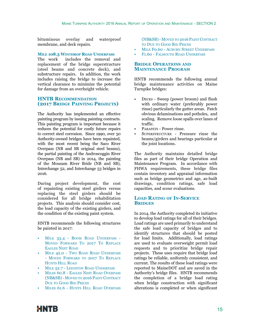bituminous overlay and waterproof membrane, and deck repairs.

#### **Mile 108.3 Winthrop Road Underpass**

The work includes the removal and replacement of the bridge superstructure (steel beams and concrete deck), and substructure repairs. In addition, the work includes raising the bridge to increase the vertical clearance to minimize the potential for damage from an overheight vehicle.

## **HNTB Recommendation (2017 Bridge Painting Projects)**

The Authority has implemented an effective painting program by issuing painting contracts. This painting program is important because it reduces the potential for costly future repairs to correct steel corrosion. Since 1990, over 50 Authority-owned bridges have been repainted, with the most recent being the Saco River Overpass (NB and SB original steel beams), the partial painting of the Androscoggin River Overpass (NB and SB) in 2014, the painting of the Mousam River Bride (NB and SB), Interchange 52, and Interchange 53 bridges in 2016.

During project development, the cost of repainting existing steel girders versus replacing the steel girders should be considered for all bridge rehabilitation projects. This analysis should consider cost, the load capacity of the existing girders, and the condition of the existing paint system.

HNTB recommends the following structures be painted in 2017:

- MILE 33.4 BOOM ROAD UNDERPASS -Moved Forward To 2017 To Replace Eagles Nest Road
- MILE 42.0 TWO ROAD ROAD UNDERPASS - MOVED FORWARD TO 2017 TO REPLACE Hunts Hill Road
- MILE 52.7 LEIGHTON ROAD UNDERPASS
- Miles 60.8 Eagles Nest Road Overpass (NB&SB) - Moved to 2016 PaintContract Due to Good Bid Prices
- Miles 61.6 Hunts Hill Road Overpass

(NB&SB) - MOVED TO 2016 PAINT CONTRACT to Due to Good Bid Prices

- **MILE FO.60 AUBURN STREET UNDERPASS**
- F<sub>1.60</sub> Falmouth Road Underpass

#### **Bridge Operations and Maintenance Program**

HNTB recommends the following annual bridge maintenance activities on Maine Turnpike bridges:

- Decks Sweep (power broom) and flush with ordinary water (preferably power rinse) particularly the gutter areas. Patch obvious delaminations and potholes, and scaling. Remove loose spalls over lanes of traffic.
- PARAPETS Power rinse.
- SUPERSTRUCTURE Pressure rinse the beams/girders and bearings particular at the joint locations.

The Authority maintains detailed bridge files as part of their bridge Operation and Maintenance Program. In accordance with FHWA requirements, these bridge files contain inventory and appraisal information such as bridge geometrics and age, as-built drawings, condition ratings, safe load capacities, and scour evaluations.

## **Load Rating of In-Service Bridges**

In 2014, the Authority completed its initiative to develop load ratings for all of their bridges. Load ratings are used primarily to understand the safe load capacity of bridges and to identify structures that should be posted for load limits. Additionally, load ratings are used to evaluate overweight permit load requests and to prioritize bridge repair projects. These uses require that bridge load ratings be reliable, uniformly consistent, and current. The results of these load ratings were reported to MaineDOT and are saved in the Authority's bridge files. HNTB recommends the completion of a bridge load rating when bridge construction with significant alterations is completed or when significant

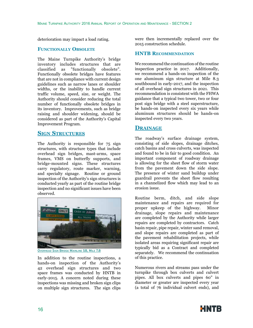deterioration may impact a load rating.

## **Functionally Obsolete**

The Maine Turnpike Authority's bridge inventory includes structures that are classified as "functionally obsolete". Functionally obsolete bridges have features that are not in compliance with current design guidelines such as narrow lanes or shoulder widths, or the inability to handle current traffic volume, speed, size, or weight. The Authority should consider reducing the total number of functionally obsolete bridges in its inventory. Improvements, such as bridge raising and shoulder widening, should be considered as part of the Authority's Capital Improvement Program.

## **Sign Structures**

The Authority is responsible for 75 sign structures, with structure types that include overhead sign bridges, mast-arms, space frames, VMS on butterfly supports, and bridge-mounted signs. These structures carry regulatory, route marker, warning, and specialty signage. Routine or ground inspection of the Authority's sign structures is conducted yearly as part of the routine bridge inspection and no significant issues have been observed.



Overhead Sign Bridge Mainline SB, Mile 7.8

In addition to the routine inspections, a hands-on inspection of the Authority's 42 overhead sign structures and two space frames was conducted by HNTB in early-2015. A concern noted during these inspections was missing and broken sign clips on multiple sign structures. The sign clips were then incrementally replaced over the 2015 construction schedule.

## **HNTB Recommendation**

We recommend the continuation of the routine inspection practice in 2017. Additionally, we recommend a hands-on inspection of the one aluminum sign structure at Mile 8.3 southbound in early-2017, and the inspection of all overhead sign structures in 2021. This recommendation is consistent with the FHWA guidance that a typical two tower, two or four post sign bridge with a steel superstructure, be hands-on inspected every six years while aluminum structures should be hands-on inspected every two years.

## **Drainage**

The roadway's surface drainage system, consisting of side slopes, drainage ditches, catch basins and cross culverts, was inspected and found to be in fair to good condition. An important component of roadway drainage is allowing for the sheet flow of storm water from the pavement down the side slope. The presence of winter sand buildup under guardrail prevents the sheet flow resulting in a channelized flow which may lead to an erosion issue.

Routine berm, ditch, and side slope maintenance and repairs are required for proper upkeep of the highway. Minor drainage, slope repairs and maintenance are completed by the Authority while larger repairs are completed by contractors. Catch basin repair, pipe repair, winter sand removal, and slope repairs are completed as part of the pavement rehabilitation projects, while isolated areas requiring significant repair are typically bid as a Contract and completed separately. We recommend the continuation of this practice.

Numerous rivers and streams pass under the turnpike through box culverts and culvert pipes. All box culverts and pipes 60" in diameter or greater are inspected every year (a total of 76 individual culvert ends), and

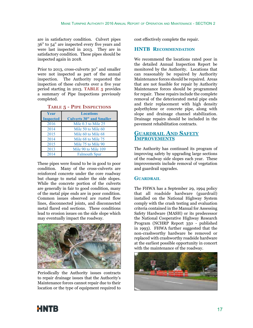are in satisfactory condition. Culvert pipes 36" to 54" are inspected every five years and were last inspected in 2013. They are in satisfactory condition. These pipes should be inspected again in 2018.

Prior to 2013, cross-culverts 30" and smaller were not inspected as part of the annual inspection. The Authority requested the inspection of these culverts over a five year period starting in 2013. **TABLE 5** provides a summary of Pipe Inspections previously completed.

| Year<br><b>Inspected</b> | <b>Locations</b><br><b>Culverts 30" and Smaller</b> |
|--------------------------|-----------------------------------------------------|
| 2016                     | Mile $0.3$ to Mile $25$                             |
| 2014                     | Mile 50 to Mile 60                                  |
| 2015                     | Mile 60 to Mile 68                                  |
| 2014                     | Mile 68 to Mile 75                                  |
| 2015                     | Mile 75 to Mile 90                                  |
| 2013                     | Mile 90 to Mile 109                                 |
| 2014                     | <b>Falmouth Spur</b>                                |

**Table 5 - Pipe Inspections**

These pipes were found to be in good to poor condition. Many of the cross-culverts are reinforced concrete under the core roadway but change to metal under the side slopes. While the concrete portion of the culverts are generally in fair to good condition, many of the metal pipe ends are in poor condition. Common issues observed are rusted flow lines, disconnected joints, and disconnected metal flared end sections. These conditions lead to erosion issues on the side slope which may eventually impact the roadway.



Periodically the Authority issues contracts to repair drainage issues that the Authority's Maintenance forces cannot repair due to their location or the type of equipment required to

cost effectively complete the repair.

## **HNTB Recommendation**

We recommend the locations rated poor in the detailed Annual Inspection Report be monitored by the Authority. Locations that can reasonably be repaired by Authority Maintenance forces should be repaired. Areas that are not feasible for repair by Authority Maintenance forces should be programmed for repair. These repairs include the complete removal of the deteriorated metal pipe ends and their replacement with high density polyethylene or concrete pipe, along with slope and drainage channel stabilization. Drainage repairs should be included in the pavement rehabilitation contracts.

## **Guardrail And Safety Improvements**

The Authority has continued its program of improving safety by upgrading large sections of the roadway side slopes each year. These improvements include removal of vegetation and guardrail upgrades.

## **GUARDRAIL**

The FHWA has a September 29, 1994 policy that all roadside hardware (guardrail) installed on the National Highway System comply with the crash testing and evaluation criteria contained in the Manual for Assessing Safety Hardware (MASH) or its predecessor the National Cooperative Highway Research Program (NCHRP Report 350 - published in 1993). FHWA further suggested that the non-crashworthy hardware be removed or replaced with crashworthy roadside hardware at the earliest possible opportunity in concert with the maintenance of the roadway.



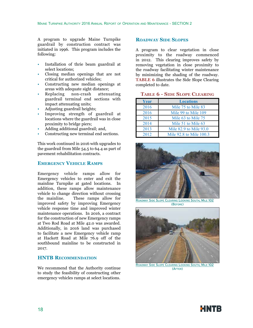A program to upgrade Maine Turnpike guardrail by construction contract was initiated in 1996. This program includes the following:

- Installation of thrie beam guardrail at select locations;
- Closing median openings that are not critical for authorized vehicles;
- Constructing new median openings at areas with adequate sight distance;
- Replacing non-crash attenuating guardrail terminal end sections with impact attenuating units;
- Adjusting guardrail heights;
- Improving strength of guardrail at locations where the guardrail was in close proximity to bridge piers;
- Adding additional guardrail; and,
- Constructing new terminal end sections.

This work continued in 2016 with upgrades to the guardrail from Mile 54.5 to 64.4 as part of pavement rehabilitation contracts.

#### **Emergency Vehicle Ramps**

Emergency vehicle ramps allow for Emergency vehicles to enter and exit the mainline Turnpike at gated locations. In addition, these ramps allow maintenance vehicle to change direction without crossing<br>the mainline. These ramps allow for These ramps allow for improved safety by improving Emergency vehicle response time and improved winter maintenance operations. In 2016, a contract for the construction of new Emergency ramps at Two Rod Road at Mile 42.0 was awarded. Additionally, in 2016 land was purchased to facilitate a new Emergency vehicle ramp at Hackett Road at Mile 76.9 off of the southbound mainline to be constructed in 2017.

## **HNTB Recommendation**

We recommend that the Authority continue to study the feasibility of constructing other emergency vehicles ramps at select locations.

## **Roadway Side Slopes**

A program to clear vegetation in close proximity to the roadway commenced in 2012. This clearing improves safety by removing vegetation in close proximity to the roadway facilitating winter maintenance by minimizing the shading of the roadway. **TABLE 6** illustrates the Side Slope Clearing completed to date.

| <b>TABLE 6 - SIDE SLOPE CLEARING</b> |  |  |  |
|--------------------------------------|--|--|--|
|--------------------------------------|--|--|--|

| <b>Year</b> | <b>Locations</b>        |
|-------------|-------------------------|
| 2016        | Mile 75 to Mile 83      |
| 2016        | Mile 99 to Mile 109     |
| 2015        | Mile 63 to Mile 75      |
| 2014        | Mile 51 to Mile 63      |
| 2013        | Mile 82.9 to Mile 93.0  |
| 2012        | Mile 92.8 to Mile 100.3 |



Roadway Side Slope Clearing Looking South, Mile 102 (Before)



Roadway Side Slope Clearing Looking South, Mile 102 (After)

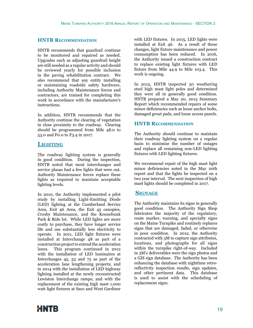## **HNTB Recommendation**

HNTB recommends that guardrail continue to be monitored and repaired as needed. Upgrades such as adjusting guardrail height are still needed as a regular activity and should be reviewed yearly for possible inclusion in the paving rehabilitation contract. We also recommend that any entity installing or maintaining roadside safety hardware, including Authority Maintenance forces and contractors, are trained for completing this work in accordance with the manufacturer's instructions.

In addition, HNTB recommends that the Authority continue the clearing of vegetation in close proximity to the roadway. Clearing should be programmed from Mile 48.0 to 53.0 and F0.0 to F3.4 in 2017.

## **Lighting**

The roadway lighting system is generally in good condition. During the inspection, HNTB noted that most interchanges and service plazas had a few lights that were out. Authority Maintenance forces replace these lights as required to maintain acceptable lighting levels.

In 2010, the Authority implemented a pilot study by installing Light-Emitting Diode (LED) lighting at the Cumberland Service Area, Exit 46 Area, the Exit 45 canopies, Crosby Maintenance, and the Kennebunk Park & Ride lot. While LED lights are more costly to purchase, they have longer service life and use substantially less electricity to operate. In 2011, LED light fixtures were installed at Interchange 48 as part of a construction project to extend the acceleration lanes. This program continued in 2012 with the installation of LED luminaires at Interchanges 45, 53 and 75 as part of the acceleration lane lengthening projects; and in 2014 with the installation of LED highway lighting installed at the newly reconstructed Lewiston Interchange ramps; and with the replacement of the existing high mast 1,000 watt light fixtures at Saco and West Gardiner

with LED fixtures. In 2015, LED lights were installed at Exit 46. As a result of these changes, light fixture maintenance and power consumption has been reduced. In 2016, the Authority issued a construction contract to replace existing light fixtures with LED fixture from Mile 44.9 to Mile 103.4. This work is ongoing.

In 2015, HNTB inspected 30 weathering steel high mast light poles and determined they were all in generally good condition. HNTB prepared a May 20, 2015 Summary Report which recommended repairs of some minor deficiencies such as loose anchor bolts, damaged grout pads, and loose access panels.

## **HNTB Recommendation**

The Authority should continue to maintain their roadway lighting system on a regular basis to minimize the number of outages and replace all remaining non-LED lighting fixtures with LED lighting fixtures.

We recommend repair of the high mast light minor deficiencies noted in the May 20th report and that the lights be inspected on a two year interval. The next inspection of high mast lights should be completed in 2017.

## **Signage**

The Authority maintains its signs in generally good condition. The Authority Sign Shop fabricates the majority of the regulatory, route marker, warning, and specialty signs on the Maine Turnpike and routinely replaces signs that are damaged, faded, or otherwise in poor condition. In 2012, the Authority contracted with 3M to capture sign attributes, locations, and photographs for all signs within the turnpike right-of-way. Included in 3M's deliverables were the sign photos and a GIS sign database. The Authority has been enhancing the database with nighttime retroreflectivity inspection results, sign updates, and other pertinent data. This database is used to assist with the scheduling of replacement signs.

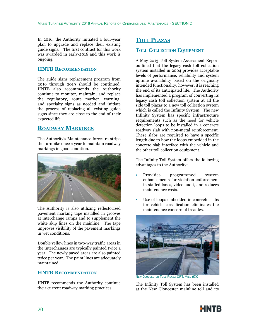In 2016, the Authority initiated a four-year plan to upgrade and replace their existing guide signs. The first contract for this work was awarded in early-2016 and this work is ongoing.

#### **HNTB Recommendation**

The guide signs replacement program from 2016 through 2019 should be continued. HNTB also recommends the Authority continue to monitor, maintain, and replace the regulatory, route marker, warning, and specialty signs as needed and initiate the process of replacing all existing guide signs since they are close to the end of their expected life.

## **Roadway Markings**

The Authority's Maintenance forces re-stripe the turnpike once a year to maintain roadway markings in good condition.



The Authority is also utilizing reflectorized pavement marking tape installed in grooves at interchange ramps and to supplement the white skip lines on the mainline. The tape improves visibility of the pavement markings in wet conditions.

Double yellow lines in two-way traffic areas in the interchanges are typically painted twice a year. The newly paved areas are also painted twice per year. The paint lines are adequately maintained.

## **HNTB Recommendation**

HNTB recommends the Authority continue their current roadway marking practices.

## **Toll Plazas**

#### **Toll Collection Equipment**

A May 2013 Toll System Assessment Report outlined that the legacy cash toll collection system installed in 2004 provides acceptable levels of performance, reliability and system uptime availability based on the originally intended functionality; however, it is reaching the end of its anticipated life. The Authority has implemented a program of converting its legacy cash toll collection system at all the side toll plazas to a new toll collection system which is called the Infinity System. The new Infinity System has specific infrastructure requirements such as the need for vehicle detection loops to be installed in a concrete roadway slab with non-metal reinforcement. These slabs are required to have a specific length due to how the loops embedded in the concrete slab interface with the vehicle and the other toll collection equipment.

The Infinity Toll System offers the following advantages to the Authority:

- Provides programmed system enhancements for violation enforcement in staffed lanes, video audit, and reduces maintenance costs.
- Use of loops embedded in concrete slabs for vehicle classification eliminates the maintenance concern of treadles.



New Gloucester Toll Plaza ORT, Mile 67.0

The Infinity Toll System has been installed at the New Gloucester mainline toll and its

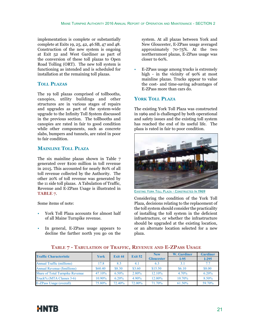implementation is complete or substantially complete at Exits 19, 25, 42, 46 SB, 47 and 48. Construction of the new system is ongoing at Exit 52 and West Gardiner as part of the conversion of these toll plazas to Open Road Tolling (ORT). The new toll system is functioning as intended and is scheduled for installation at the remaining toll plazas.

## **Toll Plazas**

The 19 toll plazas comprised of tollbooths, canopies, utility buildings and other structures are in various stages of repairs and upgrades as part of the system-wide upgrade to the Infinity Toll System discussed in the previous section. The tollbooths and canopies are rated in fair to good condition while other components, such as concrete slabs, bumpers and tunnels, are rated in poor to fair condition.

## **Mainline Toll Plaza**

The six mainline plazas shown in Table 7 generated over \$100 million in toll revenue in 2015. This accounted for nearly 80% of all toll revenue collected by the Authority. The other 20% of toll revenue was generated by the 11 side toll plazas. A Tabulation of Traffic, Revenue and E-ZPass Usage is illustrated in **TABLE 7**.

Some items of note:

- York Toll Plaza accounts for almost half of all Maine Turnpike revenue.
- In general, E-ZPass usage appears to decline the farther north you go on the

system. At all plazas between York and New Gloucester, E-ZPass usage averaged approximately 70-75%. At the two northernmost plazas, E-ZPass usage was closer to 60%.

• E-ZPass usage among trucks is extremely high - in the vicinity of 90% at most mainline plazas. Trucks appear to value the cost- and time-saving advantages of E-ZPass more than cars do.

## **York Toll Plaza**

The existing York Toll Plaza was constructed in 1969 and is challenged by both operational and safety issues and the existing toll system has reached the end of its useful life. The plaza is rated in fair to poor condition.



Existing York Toll Plaza - Constructed In 1969

Considering the condition of the York Toll Plaza, decisions relating to the replacement of the toll system should consider the practicality of installing the toll system in the deficient infrastructure, or whether the infrastructure should be upgraded at the existing location, or an alternate location selected for a new plaza.

| <b>Traffic Characteristic</b>          | York      | Exit 44 | <b>Exit 52</b> | <b>New</b>        | <b>W.</b> Gardiner | <b>Gardiner</b> |  |
|----------------------------------------|-----------|---------|----------------|-------------------|--------------------|-----------------|--|
|                                        |           |         |                | <b>Gloucester</b> | $I-95$             | $I-295$         |  |
| <b>Annual Traffic (millions)</b>       | 17.8      | 8.5     | 4.1            |                   | 3.1                | 7.7             |  |
| <b>Annual Revenue (Smillions)</b>      | \$60.40   | \$8.30  | \$3.60         | \$15.50           | \$6.10             | \$8.00          |  |
| <b>Share of Total Turnpike Revenue</b> | $47.10\%$ | 6.50%   | 2.80%          | $12.10\%$         | $4.70\%$           | 6.20%           |  |
| Truck% (MTA Classes 3-6)               | 10.90%    | 6.20%   | 4.90%          | 12.00%            | 10.70%             | 8.50%           |  |
| E-ZPass Usage (overall)                | 75.80%    | 72.40%  | 72.00%         | 71.70%            | 61.50%             | 59.70%          |  |

## **Table 7 - Tabulation of Traffic, Revenue and E-ZPass Usage**

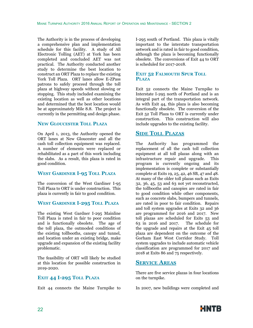The Authority is in the process of developing a comprehensive plan and implementation schedule for this facility. A study of All Electronic Tolling (AET) at York has been completed and concluded AET was not practical. The Authority conducted another study to determine the best location to construct an ORT Plaza to replace the existing York Toll Plaza. ORT lanes allow E-ZPass patrons to safely proceed through the toll plaza at highway speeds without slowing or stopping. This study included examining the existing location as well as other locations and determined that the best location would be at approximately Mile 8.8. The project is currently in the permitting and design phase.

## **New Gloucester Toll Plaza**

On April 1, 2013, the Authority opened the ORT lanes at New Gloucester and all the cash toll collection equipment was replaced. A number of elements were replaced or rehabilitated as a part of this work including the slabs. As a result, this plaza is rated in good condition.

## **West Gardiner I-95 Toll Plaza**

The conversion of the West Gardiner I-95 Toll Plaza to ORT is under construction. This plaza is currently in fair to good condition.

## **West Gardiner I-295 Toll Plaza**

The existing West Gardner I-295 Mainline Toll Plaza is rated in fair to poor condition and is functionally obsolete. The age of the toll plaza, the outmoded conditions of the existing tollbooths, canopy and tunnel, and location under an existing bridge, make upgrade and expansion of the existing facility problematic.

The feasibility of ORT will likely be studied at this location for possible construction in 2019-2020.

## **Exit 44 I-295 Toll Plaza**

Exit 44 connects the Maine Turnpike to

I-295 south of Portland. This plaza is vitally important to the interstate transportation network and is rated in fair to good condition, although the plaza is becoming functionally obsolete. The conversions of Exit 44 to ORT is scheduled for 2017-2018.

## **Exit 52 Falmouth Spur Toll Plaza**

Exit 52 connects the Maine Turnpike to Interstate I-295 north of Portland and is an integral part of the transportation network. As with Exit 44, this plaza is also becoming functionally obsolete. The conversion of the Exit 52 Toll Plaza to ORT is currently under construction. This construction will also include upgrades to the existing facility.

## **Side Toll Plazas**

The Authority has programmed the replacement of all the cash toll collection equipment at all toll plazas along with an infrastructure repair and upgrade. This program is currently ongoing and its implementation is complete or substantially complete at Exits 19, 25, 42, 46 SB, 47 and 48. At many of the older toll plazas such as Exits 32, 36, 45, 53 and 63 not yet reconstructed, the tollbooths and canopies are rated in fair to good condition while other components, such as concrete slabs, bumpers and tunnels, are rated in poor to fair condition. Repairs and toll system upgrades at Exits 32 and 36 are programmed for 2016 and 2017. New toll plazas are scheduled for Exits 53 and 63 in 2016 and 2017. The schedule for the upgrade and repairs at the Exit 45 toll plaza are dependent on the outcome of the Gorham East West Corridor Study. Toll system upgrades to include automatic vehicle classification are programmed for 2017 and 2018 at Exits 86 and 75 respectively.

## **Service Areas**

There are five service plazas in four locations on the turnpike.

In 2007, new buildings were completed and

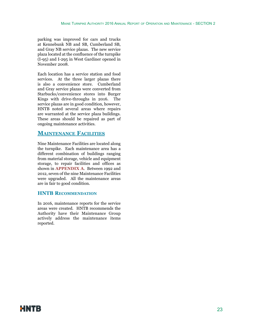parking was improved for cars and trucks at Kennebunk NB and SB, Cumberland SB, and Gray NB service plazas. The new service plaza located at the confluence of the turnpike (I-95) and I-295 in West Gardiner opened in November 2008.

Each location has a service station and food services. At the three larger plazas there is also a convenience store. Cumberland and Gray service plazas were converted from Starbucks/convenience stores into Burger Kings with drive-throughs in 2016. The service plazas are in good condition, however, HNTB noted several areas where repairs are warranted at the service plaza buildings. These areas should be repaired as part of ongoing maintenance activities.

## **Maintenance Facilities**

Nine Maintenance Facilities are located along the turnpike. Each maintenance area has a different combination of buildings ranging from material storage, vehicle and equipment storage, to repair facilities and offices as shown in **APPENDIX A**. Between 1992 and 2012, seven of the nine Maintenance Facilities were upgraded. All the maintenance areas are in fair to good condition.

#### **HNTB Recommendation**

In 2016, maintenance reports for the service areas were created. HNTB recommends the Authority have their Maintenance Group actively address the maintenance items reported.

## HNTB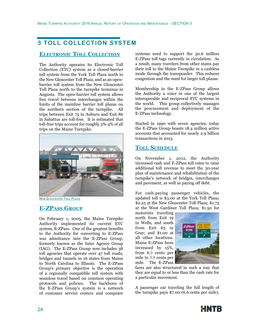## **3 TOLL COLLECTION SYSTEM**

## **Electronic Toll Collection**

The Authority operates its Electronic Toll Collection (ETC) system as a closed-barrier toll system from the York Toll Plaza north to the New Gloucester Toll Plaza, and as an openbarrier toll system from the New Gloucester Toll Plaza north to the turnpike terminus in Augusta. The open-barrier toll system allows free travel between interchanges within the limits of the mainline barrier toll plazas on the northern section of the turnpike. All trips between Exit 75 in Auburn and Exit 86 in Sabattus are toll-free. It is estimated that toll-free trips account for roughly 3%-4% of all trips on the Maine Turnpike.



**NEW GLOUCESTER TOLL PLAZA** 

## **E-ZPass Group**

On February 1, 2005, the Maine Turnpike Authority implemented its current ETC system, E-ZPass. One of the greatest benefits to the Authority for converting to E-ZPass was admittance into the E-ZPass Group, formerly known as the Inter Agency Group (IAG). The E-ZPass Group now includes 38 toll agencies that operate over 47 toll roads, bridges and tunnels in 16 states from Maine to North Carolina to Illinois. The E-ZPass Group's primary objective is the operation of a regionally compatible toll system with seamless travel based on common operating protocols and policies. The backbone of the E-ZPass Group's system is a network of customer service centers and computer

systems used to support the 30.6 million E-ZPass toll tags currently in circulation. As a result, many travelers from other states pay their toll to the Maine Turnpike in a cashless mode through the transponder. This reduces congestion and the need for larger toll plazas.

Membership in the E-ZPass Group allows the Authority a voice in one of the largest interoperable and reciprocal ETC systems in the world. This group collectively manages the procurement and deployment of the E-ZPass technology.

Started in 1990 with seven agencies, today the E-ZPass Group boasts 18.4 million active accounts that accounted for nearly 2.9 billion transactions in 2015.

## **Toll Schedule**

On November 1, 2012, the Authority increased cash and E-ZPass toll rates to raise additional toll revenue to meet the 30-year plan of maintenance and rehabilitation of the turnpike's network of bridges, interchanges and pavement, as well as paying off debt.

For cash-paying passenger vehicles, the updated toll is \$3.00 at the York Toll Plaza; \$2.25 at the New Gloucester Toll Plaza; \$1.75 at the West Gardiner Toll Plaza; \$1.50 for

motorists traveling north from Exit 19 in Wells, and south from Exit 63 in Gray; and \$1.00 at all other locations. Maine E-ZPass fares increased by 15%, from 6.7 cents per mile to 7.7 cents per mile. The E-ZPass



fares are also structured in such a way that they are equal to or less than the cash rate for a particular movement.

A passenger car traveling the full length of the turnpike pays \$7.00 (6.6 cents per mile),

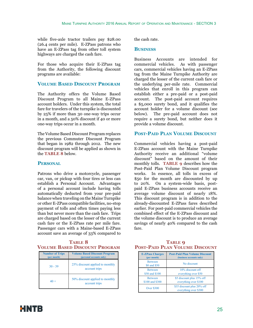while five-axle tractor trailers pay \$28.00 (26.4 cents per mile). E-ZPass patrons who have an E-ZPass tag from other toll system highways are charged the cash fare.

For those who acquire their E-ZPass tag from the Authority, the following discount programs are available:

## **Volume Based Discount Program**

The Authority offers the Volume Based Discount Program to all Maine E-ZPass account holders. Under this system, the total fare for travelers of the turnpike is discounted by 25% if more than 30 one-way trips occur in a month, and a 50% discount if 40 or more one-way trips occur in a month.

The Volume Based Discount Program replaces the previous Commuter Discount Program that began in 1982 through 2012. The new discount program will be applied as shown in the **TABLE 8** below.

## **Personal**

Patrons who drive a motorcycle, passenger car, van, or pickup with four tires or less can establish a Personal Account. Advantages of a personal account include having tolls automatically deducted from your pre-paid balance when traveling on the Maine Turnpike or other E-ZPass compatible facilities, no-stop payment of tolls and often times paying less than but never more than the cash fare. Trips are charged based on the lesser of the current cash fare or the E-ZPass rate per mile fare. Passenger cars with a Maine-based E-ZPass account save an average of 33% compared to

## **TABLE 8 Volume Based Discount Program**

| <b>Number of Trips</b><br>(per month) | <b>Volume Based Discount Program</b><br>(personal accounts only) |
|---------------------------------------|------------------------------------------------------------------|
| $30 - 39$                             | 25% discount applied to monthly<br>account trips                 |
| $40 +$                                | 50% discount applied to monthly<br>account trips                 |

the cash rate.

## **Business**

Business Accounts are intended for commercial vehicles. As with passenger cars, commercial vehicles having an E-ZPass tag from the Maine Turnpike Authority are charged the lesser of the current cash fare or the underlying per-mile rate. Commercial vehicles that enroll in this program can establish either a pre-paid or a post-paid account. The post-paid account requires a \$5,000 surety bond, and it qualifies the account holder for a volume discount (see below). The pre-paid account does not require a surety bond, but neither does it provide a volume discount.

## **Post-Paid Plan Volume Discount**

Commercial vehicles having a post-paid E-ZPass account with the Maine Turnpike Authority receive an additional "volume discount" based on the amount of their monthly tolls. **TABLE 9** describes how the Post-Paid Plan Volume Discount program works. In essence, all tolls in excess of \$50 for the month are discounted by up to 20%. On a system-wide basis, postpaid E-ZPass business accounts receive an average volume discount of nearly 18%. This discount program is in addition to the already-discounted E-ZPass fares described earlier. For post-paid commercial vehicles the combined effect of the E-ZPass discount and the volume discount is to produce an average savings of nearly 40% compared to the cash fare.

## **TABLE Q Post-Paid Plan Volume Discount**

| <b>E-ZPass Charges</b>         | <b>Post-Paid Plan Volume Discount</b>               |
|--------------------------------|-----------------------------------------------------|
| (per month)                    | (business accounts only)                            |
| <b>Between</b><br>\$0 and \$50 | No discount                                         |
| <b>Between</b>                 | 10% discount off                                    |
| \$50 and \$100                 | everything over \$50                                |
| <b>Between</b>                 | \$5 discount plus 15% off                           |
| \$100 and \$300                | everything over \$100                               |
| <b>Over \$300</b>              | \$35 discount plus 20% off<br>everything over \$300 |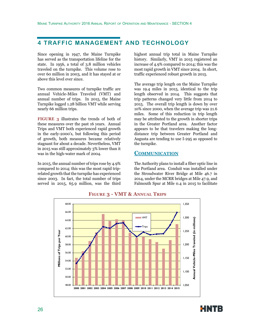## **4 TRAFFIC MANAGEMENT AND TECHNOLOGY**

Since opening in 1947, the Maine Turnpike has served as the transportation lifeline for the state. In 1956, a total of 3.8 million vehicles traveled on the turnpike. This volume rose to over 60 million in 2003, and it has stayed at or above this level ever since.

Two common measures of turnpike traffic are annual Vehicle-Miles Traveled (VMT) and annual number of trips. In 2015, the Maine Turnpike logged 1.28 billion VMT while serving nearly 66 million trips.

**FIGURE 3** illustrates the trends of both of these measures over the past 16 years. Annual Trips and VMT both experienced rapid growth in the early-2000's, but following this period of growth, both measures became relatively stagnant for about a decade. Nevertheless, VMT in 2015 was still approximately 3% lower than it was in the high-water mark of 2004.

In 2015, the annual number of trips rose by 4.9% compared to 2014; this was the most rapid triprelated growth that the turnpike has experienced since 2003. In fact, the total number of trips served in 2015, 65.9 million, was the third highest annual trip total in Maine Turnpike history. Similarly, VMT in 2015 registered an increase of 4.9% compared to 2014; this was the most rapid growth in VMT since 2004. In short, traffic experienced robust growth in 2015.

The average trip length on the Maine Turnpike was 19.4 miles in 2015, identical to the trip length observed in 2014. This suggests that trip patterns changed very little from 2014 to 2015. The overall trip length is down by over 10% since 2000, when the average trip was 21.6 miles. Some of this reduction in trip length may be attributed to the growth in shorter trips in the Greater Portland area. Another factor appears to be that travelers making the longdistance trip between Greater Portland and Augusta are tending to use I-295 as opposed to the turnpike.

## **Communication**

The Authority plans to install a fiber optic line in the Portland area. Conduit was installed under the Stroudwater River Bridge at Mile 46.7 in 2014, under the MCRR bridges at Mile 47.9, and Falmouth Spur at Mile 0.4 in 2015 to facilitate



**Figure 3 - VMT & Annual Trips**

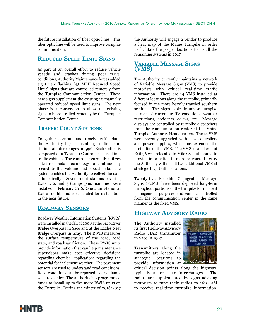the future installation of fiber optic lines. This fiber optic line will be used to improve turnpike communication.

## **Reduced Speed Limit Signs**

As part of an overall effort to reduce vehicle speeds and crashes during poor travel conditions, Authority Maintenance forces added eight new flashing "45 MPH Reduced Speed Limit" signs that are controlled remotely from the Turnpike Communication Center. These new signs supplement the existing 10 manually operated reduced speed limit signs. The next phase is a conversion to allow the existing signs to be controlled remotely by the Turnpike Communication Center.

## **Traffic Count Stations**

To gather accurate and timely traffic data, the Authority began installing traffic count stations at interchanges in 1996. Each station is composed of a Type 170 Controller housed in a traffic cabinet. The controller currently utilizes side-fired radar technology to continuously record traffic volume and speed data. The system enables the Authority to collect the data automatically. Seven count stations covering Exits 1, 2, and 3 (ramps plus mainline) were installed in February 2016. One count station at Exit 2 southbound is scheduled for installation in the near future.

## **Roadway Sensors**

Roadway Weather Information Systems (RWIS) were installed in the fall of 2008 at the Saco River Bridge Overpass in Saco and at the Eagles Nest Bridge Overpass in Gray. The RWIS measures the surface temperature of the road, road state, and roadway friction. These RWIS units provide information that can help maintenance supervisors make cost effective decisions regarding chemical applications regarding the potential for inclement weather. The pavement sensors are used to understand road conditions. Road conditions can be reported as dry, damp, wet, frost or ice. The Authority has programmed funds to install up to five more RWIS units on the Turnpike. During the winter of 2016/2017 the Authority will engage a vendor to produce a heat map of the Maine Turnpike in order to facilitate the proper locations to install the remaining systems in 2017.

## **Variable Message Signs (VMS)**

The Authority currently maintains a network of Variable Message Signs (VMS) to provide motorists with critical real-time traffic information. There are 14 VMS installed at different locations along the turnpike, primarily focused in the more heavily traveled southern section. The signs typically advise turnpike patrons of current traffic conditions, weather restrictions, accidents, delays, etc. Message displays are controlled by turnpike dispatchers from the communication center at the Maine Turnpike Authority Headquarters. The 14 VMS were recently upgraded with new controllers and power supplies, which has extended the useful life of the VMS. The VMS located east of Exit 36 was relocated to Mile 28 southbound to provide information to more patrons. In 2017 the Authority will install two additional VMS at strategic high traffic locations.

Twenty-five Portable Changeable Message Signs (PCMS) have been deployed long-term throughout portions of the turnpike for incident management purposes and can be controlled from the communication center in the same manner as the fixed VMS.

## **Highway Advisory Radio**

The Authority installed its first Highway Advisory Radio (HAR) transmitter in Saco in 1997.

Transmitters along the turnpike are located in strategic locations to provide information at **Highway Advisory Radio**



critical decision points along the highway, typically at or near interchanges. The radios are supplemented by signs advising motorists to tune their radios to 1610 AM to receive real-time turnpike information.

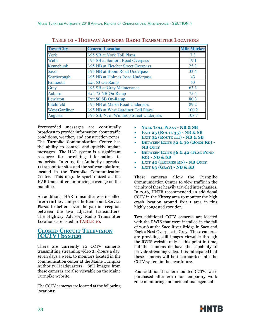| <b>Town/City</b>     | <b>General Location</b>                  | <b>Mile Marker</b> |
|----------------------|------------------------------------------|--------------------|
| York                 | I-95 SB at York Toll Plaza               | 7.3                |
| Wells                | I-95 SB at Sanford Road Overpass         | 19.1               |
| Kennebunk            | I-95 NB at Fletcher Street Overpass      | 25.3               |
| Saco                 | I-95 NB at Boom Road Underpass           | 33.4               |
| Scarborough          | I-95 NB at Holmes Road Underpass         | 43                 |
| Falmouth             | Exit 53 On-Ramp                          | 53                 |
| Gray                 | I-95 SB at Gray Maintenance              | 63.3               |
| Auburn               | Exit 75 NB On-Ramp                       | 75.4               |
| Lewiston             | Exit 80 SB On-Ramp                       | 80.3               |
| Litchfield           | I-95 NB at Marsh Road Underpass          | 89.2               |
| <b>West Gardiner</b> | I-95 NB at West Gardiner Toll Plaza      | 100.2              |
| Augusta              | I-95 SB, N. of Winthrop Street Underpass | 108.7              |

**Table 10 - Highway Advisory Radio Transmitter Locations**

Prerecorded messages are continually broadcast to provide information about traffic conditions, weather, and construction zones. The Turnpike Communication Center has the ability to control and quickly update messages. The HAR system is a significant resource for providing information to motorists. In 2007, the Authority upgraded 11 transmitter sites and the software platform located in the Turnpike Communication Center. This upgrade synchronized all the HAR transmitters improving coverage on the mainline.

An additional HAR transmitter was installed in 2011 in the vicinity of the Kennebunk Service Plazas to better cover the gap in reception between the two adjacent transmitters. The Highway Advisory Radio Transmitter Locations are listed in **TABLE 10**.

## **Closed Circuit Television (CCTV) System**

There are currently 12 CCTV cameras transmitting streaming video 24-hours a day, seven days a week, to monitors located in the communication center at the Maine Turnpike Authority Headquarters. Still images from these cameras are also viewable on the Maine Turnpike website.

The CCTV cameras are located at the following locations:

- **• York Toll Plaza NB & SB**
- **• Exit 25 (Route 35) NB & SB**
- **• Exit 32 (Route 111) NB & SB**
- **BETWEEN EXITS 32 & 36 (BOOM RD) -NB Only**
- **• Between Exits 36 & 42 (Flag Pond Rd) - NB & SB**
- **EXIT 42 (HOLMES RD) NB ONLY**
- **• Exit 63 (Gray) NB & SB**

These cameras allow the Turnpike Communication Center to view traffic in the vicinity of these heavily traveled interchanges. In 2016, HNTB recommended an additional CCTV in the Kittery area to monitor the high crash location around Exit 1 area in this highly congested corridor.

Two additional CCTV cameras are located with the RWIS that were installed in the fall of 2008 at the Saco River Bridge in Saco and Eagles Nest Overpass in Gray. These cameras are providing still images viewable through the RWIS website only at this point in time, but the cameras do have the capability to provide streaming video. It is anticipated that these cameras will be incorporated into the CCTV system in the near future.

Four additional trailer-mounted CCTVs were purchased after 2010 for temporary work zone monitoring and incident management.

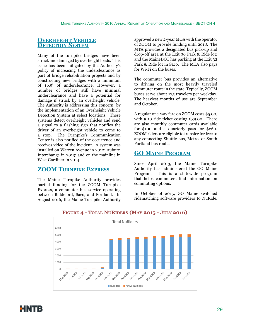## **Overheight Vehicle Detection System**

Many of the turnpike bridges have been struck and damaged by overheight loads. This issue has been mitigated by the Authority's policy of increasing the underclearance as part of bridge rehabilitation projects and by constructing new bridges with a minimum of 16.5' of underclearance. However, a number of bridges still have minimal underclearance and have a potential for damage if struck by an overheight vehicle. The Authority is addressing this concern by the implementation of an Overheight Vehicle Detection System at select locations. These systems detect overheight vehicles and send a signal to a flashing sign that notifies the driver of an overheight vehicle to come to a stop. The Turnpike's Communication Center is also notified of the occurrence and receives video of the incident. A system was installed on Warren Avenue in 2012; Auburn Interchange in 2013; and on the mainline in West Gardiner in 2014.

## **ZOOM Turnpike Express**

The Maine Turnpike Authority provides partial funding for the ZOOM Turnpike Express, a commuter bus service operating between Biddeford, Saco, and Portland. In August 2016, the Maine Turnpike Authority approved a new 2-year MOA with the operator of ZOOM to provide funding until 2018. The MTA provides a designated bus pick-up and drop-off area at the Exit 36 Park & Ride lot; and the MaineDOT has parking at the Exit 32 Park & Ride lot in Saco. The MTA also pays for Wi-Fi on the buses.

The commuter bus provides an alternative to driving on the most heavily traveled commuter route in the state. Typically, ZOOM buses serve about 125 travelers per weekday. The heaviest months of use are September and October.

A regular one-way fare on ZOOM costs \$5.00, with a 10 ride ticket costing \$39.00. There are also monthly commuter cards available for \$100 and a quarterly pass for \$260. ZOOM riders are eligible to transfer for free to any connecting Shuttle bus, Metro, or South Portland bus route.

## **GO Maine Program**

Since April 2013, the Maine Turnpike Authority has administered the GO Maine Program. This is a statewide program that helps commuters find information on commuting options.

In October of 2015, GO Maine switched ridematching software providers to NuRide.



**Figure 4 - Total NuRiders (May 2015 - July 2016)**

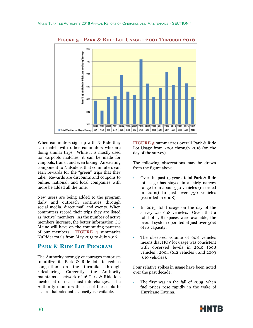

**Figure 5 - Park & Ride Lot Usage - 2001 Through 2016**

When commuters sign up with NuRide they can match with other commuters who are doing similar trips. While it is mostly used for carpools matches, it can be made for vanpools, transit and even biking. An exciting component to NuRide is that commuters can earn rewards for the "green" trips that they take. Rewards are discounts and coupons to online, national, and local companies with more be added all the time.

New users are being added to the program daily and outreach continues through social media, direct mail and events. When commuters record their trips they are listed as "active" members. As the number of active members increase, the better information GO Maine will have on the commuting patterns of our members. **FIGURE 4** summaries NuRider totals from May 2015 to July 2016.

## **Park & Ride Lot Program**

The Authority strongly encourages motorists to utilize its Park & Ride lots to reduce congestion on the turnpike through ridesharing. Currently, the Authority maintains a network of 16 Park & Ride lots located at or near most interchanges. The Authority monitors the use of these lots to assure that adequate capacity is available.

**FIGURE 5** summarizes overall Park & Ride Lot Usage from 2001 through 2016 (on the day of the survey).

The following observations may be drawn from the figure above:

- Over the past 15 years, total Park & Ride lot usage has stayed in a fairly narrow range from about 550 vehicles (recorded in 2002) to just over 750 vehicles (recorded in 2008).
- In 2015, total usage on the day of the survey was 608 vehicles. Given that a total of 1,181 spaces were available, the overall system operated at just over 50% of its capacity.
- The observed volume of 608 vehicles means that HOV lot usage was consistent with observed levels in 2010 (608 vehicles), 2004 (612 vehicles), and 2003 (610 vehicles).

Four relative spikes in usage have been noted over the past decade:

• The first was in the fall of 2005, when fuel prices rose rapidly in the wake of Hurricane Katrina.

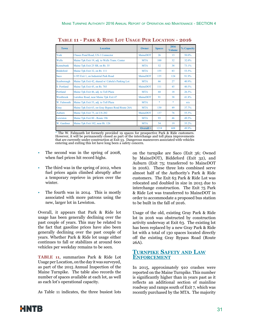| <b>Town</b>      | <b>Location</b>                                   | Owner           | <b>Spaces</b> | 2016<br><b>Volume</b>             | % Capacity |
|------------------|---------------------------------------------------|-----------------|---------------|-----------------------------------|------------|
| York             | Chases Pond Road, US-1 Connector                  | MaineDOT        | 26            | 13                                | 50.0%      |
| Wells            | Maine Tpk Exit 19, adj. to Wells Trans. Center    | <b>MTA</b>      | 100           | 32                                | 32.0%      |
| Kennebunk        | Maine Tpk Exit 25 SB, on Rt. 35                   | <b>MTA</b>      | 52            | 38                                | 73.1%      |
| <b>Biddeford</b> | Maine Tpk Exit 32, on Rt. 111                     | <b>MTA</b>      | 155           | 83                                | 53.5%      |
| Saco             | I-195 Exit 1, on Industrial Park Road             | <b>MaineDOT</b> | 135           | 124                               | 91.9%      |
| Scarborough      | Maine Tpk Exit 42, shared w/ Cabela's Parking Lot | <b>MTA</b>      | 66            | 27                                | 40.9%      |
| S. Portland      | Maine Tpk Exit 45, on Rt. 703                     | MaineDOT        | 111           | 45                                | 40.5%      |
| Portland         | Maine Tpk Exit 46, adj. to Toll Plaza             | <b>MTA</b>      | 68            | 18                                | 26.5%      |
| Westbrook        | Larrabee Road, near Maine Tpk Exit 47             | MaineDOT        | 91            | 38                                | 41.8%      |
| W. Falmouth      | Maine Tpk Exit 53, adj. to Toll Plaza             | <b>MTA</b>      | $\frac{1}{2}$ | $\frac{d\mathbf{x}}{d\mathbf{x}}$ | n/a        |
| Gray             | Maine Tpk Exit 63, on Gray Bypass Road Route 26A  | <b>MTA</b>      | 130           | 49                                | 37.7%      |
| Auburn           | Maine Tpk Exit 75, on US-202                      | MaineDOT        | 137           | 76                                | 55.5%      |
| Lewiston         | Maine Tpk Exit 80 - Route 196                     | <b>MTA</b>      | 93            | 46                                | 49.5%      |
| W. Gardiner      | Maine Tpk Exit 102, near Rt. 126                  | <b>MTA</b>      | 54            | 19                                | 35.2%      |
|                  |                                                   | $Overall =$     | 1218          | 608                               | 49.9%      |

**Table 11 - Park & Ride Lot Usage Per Location - 2016**

\* The W. Falmouth lot formerly provided 19 spaces for prospective Park & Ride customers. However, it will be permanently closed as part of the interchange and toll plaza improvements that are currently under construction at Exit 53. Dangerous maneuvers associated with vehicles entering and exiting this lot have long been a safety concern.

- The second was in the spring of 2008, when fuel prices hit record highs.
- The third was in the spring of 2012, when fuel prices again climbed abruptly after a temporary reprieve in prices over the winter.
- The fourth was in 2014. This is mostly associated with more patrons using the new, larger lot in Lewiston.

Overall, it appears that Park & Ride lot usage has been generally declining over the past couple of years. This may be related to the fact that gasoline prices have also been generally declining over the past couple of years. Whether Park & Ride lot usage either continues to fall or stabilizes at around 600 vehicles per weekday remains to be seen.

**TABLE 11**, summarizes Park & Ride Lot Usage per Location, on the day it was surveyed, as part of the 2015 Annual Inspection of the Maine Turnpike. The table also records the number of spaces available at each lot, as well as each lot's operational capacity.

As Table 11 indicates, the three busiest lots

on the turnpike are Saco (Exit 36; Owned by MaineDOT), Biddeford (Exit 32), and Auburn (Exit 75; transferred to MaineDOT in 2016). These three lots combined serve almost half of the Authority's Park & Ride customers. The Exit 63 Park & Ride Lot was relocated and doubled in size in 2015 due to interchange construction. The Exit 75 Park & Ride Lot was transferred to MaineDOT in order to accommodate a proposed bus station to be built in the fall of 2016.

Usage of the old, existing Gray Park & Ride lot in 2016 was obstructed by construction activity underway at Exit 63. The existing lot has been replaced by a new Gray Park & Ride lot with a total of 130 spaces located directly off the existing Gray Bypass Road (Route 26A).

## **Turnpike Safety and Law Enforcement**

In 2015, approximately 910 crashes were reported on the Maine Turnpike. This number is significantly higher than in years past as it reflects an additional section of mainline roadway and ramps south of Exit 7, which was recently purchased by the MTA. The majority

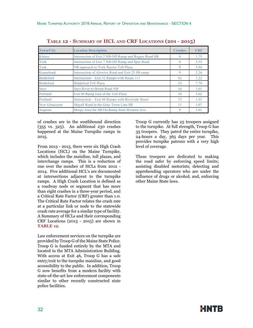| <b>Town/City</b>      | <b>Location Description</b>                           | <b>Crashes</b> | <b>CRF</b> |
|-----------------------|-------------------------------------------------------|----------------|------------|
| Kittery               | Intersection of Exit 2 NB Off-Ramp and Rogers Road SB | 8              | 1.75       |
| York                  | Intersection of Exit 7 NB Off Ramp and Spur Road      | 9              | 3.55       |
| York                  | NB approach to York Barrier Toll Plaza                | 9              | 3.94       |
| Kennebunk             | Intersection of Alewive Road and Exit 25 SB ramp      | 9              | 2.24       |
| <b>Biddeford</b>      | Intersection – Exit 32 Ramps with Route 111           | 62             | 1.22       |
| <b>Biddeford</b>      | <b>Biddeford Toll Plaza</b>                           | 10             | 7.74       |
| Saco                  | Saco River to Boom Road NB                            | 16             | 1.01       |
| Portland              | Exit 48 Ramp East of the Toll Plaza                   | 10             | 3.02       |
| Portland              | Intersection – Exit 48 Ramps with Riverside Street    | 73             | 1.93       |
| <b>New Gloucester</b> | Mayall Road to the Gray Town Line SB                  | 11             | 1.07       |
| Augusta               | Merge Area for SB On-Ramp from Western Ave.           | 9              | 1.01       |

**Table 12 - Summary of HCL and CRF Locations (201 - 2015)**

of crashes are in the southbound direction (355 vs. 325). An additional 230 crashes happened at the Maine Turnpike ramps in 2015.

From 2013 - 2015, there were six High Crash Locations (HCL) on the Maine Turnpike, which includes the mainline, toll plazas, and interchange ramps. This is a reduction of one over the number of HCLs from 2012 - 2014. Five additional HCL's are documented at intersections adjacent to the turnpike ramps. A High Crash Location is defined as a roadway node or segment that has more than eight crashes in a three-year period, and a Critical Rate Factor (CRF) greater than 1.0. The Critical Rate Factor relates the crash rate at a particular link or node to the statewide crash rate average for a similar type of facility. A Summary of HCLs and their corresponding CRF Locations (2013 - 2015) are shown in **TABLE 12**.

Law enforcement services on the turnpike are provided by Troop G of the Maine State Police. Troop G is funded entirely by the MTA and located in the MTA Administration Building. With access at Exit 46, Troop G has a safe entry/exit to the turnpike mainline, and good accessibility to the public. In addition, Troop G now benefits from a modern facility with state-of-the-art law enforcement components similar to other recently constructed state police facilities.

Troop G currently has 25 troopers assigned to the turnpike. At full strength, Troop G has 35 troopers. They patrol the entire turnpike, 24-hours a day, 365 days per year. This provides turnpike patrons with a very high level of coverage.

These troopers are dedicated to making the road safer by enforcing speed limits; assisting disabled motorists; detecting and apprehending operators who are under the influence of drugs or alcohol; and, enforcing other Maine State laws.

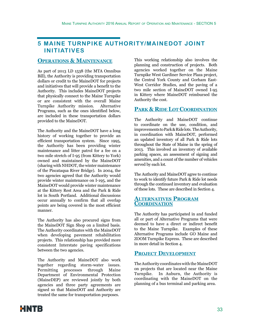## **5 MAINE TURNPIKE AUTHORITY/MAINEDOT JOINT INITIATIVES**

## **Operations & Maintenance**

As part of 2013 LD 1538 (the MTA Omnibus Bill), the Authority is providing transportation dollars or credit to the MaineDOT for projects and initiatives that will provide a benefit to the Authority. This includes MaineDOT projects that physically connect to the Maine Turnpike or are consistent with the overall Maine Turnpike Authority mission. Alternative Programs, such as the ones identified below, are included in these transportation dollars provided to the MaineDOT.

The Authority and the MaineDOT have a long history of working together to provide an efficient transportation system. Since 1995, the Authority has been providing winter maintenance and litter patrol for a fee on a two mile stretch of I-95 (from Kittery to York) owned and maintained by the MaineDOT (sharing with NHDOT, the winter maintenance of the Piscataqua River Bridge). In 2004, the two agencies agreed that the Authority would provide winter maintenance on I-195, and the MaineDOT would provide winter maintenance at the Kittery Rest Area and the Park & Ride lot in South Portland. Additional discussions occur annually to confirm that all overlap points are being covered in the most efficient manner.

The Authority has also procured signs from the MaineDOT Sign Shop on a limited basis. The Authority coordinates with the MaineDOT when developing pavement rehabilitation projects. This relationship has provided more consistent Interstate paving specifications between the two agencies.

The Authority and MaineDOT also work together regarding storm-water issues. Permitting processes through Maine Department of Environmental Protection (MaineDEP) are reviewed jointly by both agencies and three party agreements are signed so that MaineDOT and Authority are treated the same for transportation purposes.

This working relationship also involves the planning and construction of projects. Both agencies worked together on the Maine Turnpike West Gardiner Service Plaza project, the Central York County and Gorham East-West Corridor Studies, and the paving of a two mile section of MaineDOT owned I-95 in Kittery where MaineDOT reimbursed the Authority the cost.

## **Park & Ride Lot Coordination**

The Authority and MaineDOT continue to coordinate on the use, condition, and improvements to Park & Ride lots. The Authority, in coordination with MaineDOT, performed an updated inventory of all Park & Ride lots throughout the State of Maine in the spring of 2013. This involved an inventory of available parking spaces, an assessment of signing and amenities, and a count of the number of vehicles served by each lot.

The Authority and MaineDOT agree to continue to work to identify future Park & Ride lot needs through the continued inventory and evaluation of these lots. These are described in Section 4.

## **Alternatives Program Coordination**

The Authority has participated in and funded all or part of Alternative Programs that were deemed to have a direct or indirect benefit to the Maine Turnpike. Examples of these Alternative Programs include GO Maine and ZOOM Turnpike Express. These are described in more detail in Section 4.

## **Project Development**

The Authority coordinates with the MaineDOT on projects that are located near the Maine Turnpike. In Auburn, the Authority is coordinating with the MaineDOT on the planning of a bus terminal and parking area.

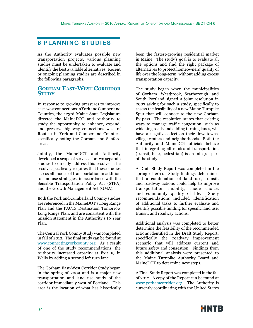## **6 PLANNING STUDIES**

As the Authority evaluates possible new transportation projects, various planning studies must be undertaken to evaluate and identify the best available alternatives. Recent or ongoing planning studies are described in the following paragraphs.

## **Gorham East-West Corridor STUDY**

In response to growing pressures to improve east-west connections in York and Cumberland Counties, the 123rd Maine State Legislature directed the MaineDOT and Authority to study the opportunity to enhance, expand, and preserve highway connections west of Route 1 in York and Cumberland Counties, specifically noting the Gorham and Sanford areas.

Jointly, the MaineDOT and Authority developed a scope of services for two separate studies to directly address this resolve. The resolve specifically requires that these studies assess all modes of transportation in addition to land use strategies, in accordance with the Sensible Transportation Policy Act (STPA) and the Growth Management Act (GMA).

Both the York and Cumberland County studies are referenced in the MaineDOT's Long Range Plan and the PACTS Destination Tomorrow Long Range Plan, and are consistent with the mission statement in the Authority's 10 Year Plan.

The Central York County Study was completed in fall of 2012. The final study can be found at www.connectingyorkcounty.org. As a result of one of the study recommendations, the Authority increased capacity at Exit 19 in Wells by adding a second left turn lane.

The Gorham East-West Corridor Study began in the spring of 2009 and is a major new transportation and land use study of the corridor immediately west of Portland. This area is the location of what has historically

been the fastest-growing residential market in Maine. The study's goal is to evaluate all the options and find the right package of alternatives to protect homeowners' quality of life over the long-term, without adding excess transportation capacity.

The study began when the municipalities of Gorham, Westbrook, Scarborough, and South Portland signed a joint resolution in 2007 asking for such a study, specifically to assess the feasibility of a new Maine Turnpike Spur that will connect to the new Gorham By-pass. The resolution states that existing ways to manage traffic congestion, such as widening roads and adding turning lanes, will have a negative effect on their downtowns, village centers and neighborhoods. Both the Authority and MaineDOT officials believe that integrating all modes of transportation (transit, bike, pedestrian) is an integral part of the study.

A Draft Study Report was completed in the spring of 2011. Study findings determined that a combination of land use, transit, and roadway actions could help to improve transportation mobility, mode choice, and community quality of life. Study recommendations included identification of additional tasks to further evaluate and identify possible funding for specific land use, transit, and roadway actions.

Additional analysis was completed to better determine the feasibility of the recommended actions identified in the Draft Study Report; specifically the roadway improvement scenario that will address current and future safety and congestion. Findings from this additional analysis were presented to the Maine Turnpike Authority Board and MaineDOT to determine next steps.

A Final Study Report was completed in the fall of 2012. A copy of the Report can be found at www.gorhamcorridor.org. The Authority is currently coordinating with the United States

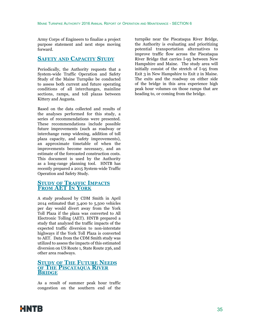Army Corps of Engineers to finalize a project purpose statement and next steps moving forward.

## **Safety and Capacity Study**

Periodically, the Authority requests that a System-wide Traffic Operation and Safety Study of the Maine Turnpike be conducted to assess both current and future operating conditions of all interchanges, mainline sections, ramps, and toll plazas between Kittery and Augusta.

Based on the data collected and results of the analyses performed for this study, a series of recommendations were presented. These recommendations include possible future improvements (such as roadway or interchange ramp widening, addition of toll plaza capacity, and safety improvements), an approximate timetable of when the improvements become necessary, and an estimate of the forecasted construction costs. This document is used by the Authority as a long-range planning tool. HNTB has recently prepared a 2015 System-wide Traffic Operation and Safety Study.

## **Study of Traffic Impacts From AET In York**

A study produced by CDM Smith in April 2014 estimated that 3,400 to 5,500 vehicles per day would divert away from the York Toll Plaza if the plaza was converted to All Electronic Tolling (AET). HNTB prepared a study that analyzed the traffic impacts of the expected traffic diversion to non-interstate highways if the York Toll Plaza is converted to AET. Data from the CDM Smith study was utilized to assess the impacts of this estimated diversion on US Route 1, State Route 236, and other area roadways.

## **Study of The Future Needs of The Piscataqua River Bridge**

As a result of summer peak hour traffic congestion on the southern end of the turnpike near the Piscataqua River Bridge, the Authority is evaluating and prioritizing potential transportation alternatives to improve traffic flow across the Piscataqua River Bridge that carries I-95 between New Hampshire and Maine. The study area will initially consist of the stretch of I-95 from Exit 3 in New Hampshire to Exit 2 in Maine. The exits and the roadway on either side of the bridge in this area experience high peak hour volumes on those ramps that are heading to, or coming from the bridge.

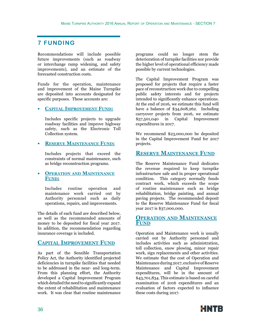## **7 FUNDING**

Recommendations will include possible future improvements (such as roadway or interchange ramp widening, and safety improvements), and an estimate of the forecasted construction costs.

Funds for the operation, maintenance and improvement of the Maine Turnpike are deposited into accounts designated for specific purposes. These accounts are:

## **• Capital Improvement Fund:**

Includes specific projects to upgrade roadway facilities and improve highway safety, such as the Electronic Toll Collection system.

## **• Reserve Maintenance Fund:**

Includes projects that exceed the constraints of normal maintenance, such as bridge reconstruction programs.

## **• Operation and Maintenance Fund:**

Includes routine operation and maintenance work carried out by Authority personnel such as daily operations, repairs, and improvements.

The details of each fund are described below, as well as the recommended amounts of money to be deposited for fiscal year 2017. In addition, the recommendation regarding insurance coverage is included.

## **Capital Improvement Fund**

As part of the Sensible Transportation Policy Act, the Authority identified projected deficiencies in turnpike facilities that needed to be addressed in the near- and long-term. From this planning effort, the Authority developed a Capital Improvement Program which detailed the need to significantly expand the extent of rehabilitation and maintenance work. It was clear that routine maintenance programs could no longer stem the deterioration of turnpike facilities nor provide the higher level of operational efficiency made possible by current technologies.

The Capital Improvement Program was proposed for projects that require a faster pace of reconstruction work due to compelling public safety interests and for projects intended to significantly enhance operations. At the end of 2016, we estimate this fund will have a balance of \$34,608,262. Including carryover projects from 2016, we estimate<br>\$57,501,040 in Capital Improvement in Capital Improvement expenditures in 2017.

We recommend \$23,000,000 be deposited in the Capital Improvement Fund for 2017 projects.

## **Reserve Maintenance Fund**

The Reserve Maintenance Fund dedicates the revenue required to keep turnpike infrastructure safe and in proper operational condition. This category normally funds contract work, which exceeds the scope of routine maintenance such as bridge rehabilitation, bridge painting, and annual paving projects. The recommended deposit to the Reserve Maintenance Fund for fiscal year 2017 is \$37,000,000.

## **Operation and Maintenance Fund**

Operation and Maintenance work is usually carried out by Authority personnel and includes activities such as administration, toll collection, snow plowing, minor repair work, sign replacements and other activities. We estimate that the cost of Operation and Maintenance during 2017, exclusive of Reserve Maintenance and Capital Improvement expenditures, will be in the amount of \$43,701,834. This estimate is based on careful examination of 2016 expenditures and an evaluation of factors expected to influence these costs during 2017.

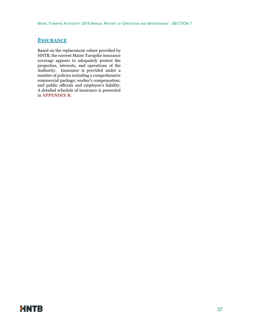## **Insurance**

Based on the replacement values provided by HNTB, the current Maine Turnpike insurance coverage appears to adequately protect the properties, interests, and operations of the Authority. Insurance is provided under a number of policies including a comprehensive commercial package; worker's compensation; and public officials and employee's liability. A detailed schedule of insurance is presented in **APPENDIX B**.

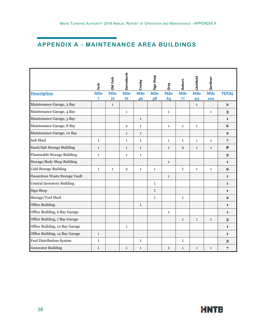## **APPENDIX A - MAINTENANCE AREA BUILDINGS**

|                                   | York         | Old York     | Kennebunk      | Crosby       | Sign Shop    | Gray         | Auburn         | Litchfield   | Gardiner     |              |
|-----------------------------------|--------------|--------------|----------------|--------------|--------------|--------------|----------------|--------------|--------------|--------------|
| <b>Description</b>                | <b>Mile</b>  | <b>Mile</b>  | <b>Mile</b>    | <b>Mile</b>  | <b>Mile</b>  | <b>Mile</b>  | <b>Mile</b>    | <b>Mile</b>  | <b>Mile</b>  | <b>TOTAL</b> |
|                                   | 7            | 10           | 25             | 46           | 58           | 63           | 77             | 93           | 102          |              |
| Maintenance Garage, 3 Bay         |              | $\mathbf{1}$ |                |              |              |              |                | $\mathbf{1}$ |              | $\mathbf{2}$ |
| Maintenance Garage, 4 Bay         |              |              | $\mathbf{1}$   |              |              | $\mathbf{1}$ |                |              | $\mathbf{1}$ | $\bf{3}$     |
| Maintenance Garage, 5 Bay         |              |              |                | $\mathbf{1}$ |              |              |                |              |              | $\mathbf{1}$ |
| Maintenance Garage, 8 Bay         |              |              | $\overline{2}$ | $\mathbf{1}$ |              | $\mathbf{1}$ | $\mathbf{1}$   | $\mathbf{1}$ |              | 6            |
| Maintenance Garage, 10 Bay        |              |              | $\mathbf{1}$   | $\mathbf{1}$ |              |              |                |              |              | $\mathbf{2}$ |
| Salt Shed                         | $\mathbf{1}$ |              | $\mathbf{1}$   | $\mathbf{1}$ |              | $\mathbf{1}$ | $\mathbf{1}$   | $\mathbf{1}$ | $\mathbf{1}$ | 7            |
| Sand/Salt Storage Building        | $\mathbf{1}$ |              | $\mathbf{1}$   | $\mathbf{1}$ |              | $\mathbf{1}$ | $\overline{2}$ | $\mathbf{1}$ | $\mathbf{1}$ | 8            |
| <b>Flammable Storage Building</b> | $\mathbf{1}$ |              | $\mathbf{1}$   | $\mathbf{1}$ |              |              |                |              |              | 3            |
| Storage/Body Shop Building        |              |              |                |              |              | $\mathbf{1}$ |                |              |              | $\mathbf{1}$ |
| Cold Storage Building             | $\mathbf{1}$ | $\mathbf{1}$ | $\overline{2}$ | $\mathbf{1}$ | $\mathbf{1}$ |              | $\mathbf{1}$   | $\mathbf{1}$ | $\mathbf{1}$ | 9            |
| Hazardous Waste Storage Vault     |              |              |                |              |              | $\mathbf{1}$ |                |              |              | $\mathbf{1}$ |
| <b>Central Inventory Building</b> |              |              |                |              | $\mathbf{1}$ |              |                |              |              | $\mathbf{1}$ |
| Sign Shop                         |              |              |                |              | $\mathbf{1}$ |              |                |              |              | $\mathbf{1}$ |
| Storage/Tool Shed                 |              |              |                |              | $\mathbf{1}$ |              | $\mathbf{1}$   |              |              | $\mathbf{2}$ |
| <b>Office Building</b>            |              |              |                | $\mathbf{1}$ |              |              |                |              |              | $\mathbf{1}$ |
| Office Building, 6 Bay Garage     |              |              |                |              |              | $\mathbf{1}$ |                |              |              | $\mathbf{1}$ |
| Office Building, 7 Bay Garage     |              |              |                |              |              |              | $\mathbf{1}$   | $\mathbf{1}$ | $\mathbf{1}$ | 3            |
| Office Building, 10 Bay Garage    |              |              | $\mathbf{1}$   |              |              |              |                |              |              | $\mathbf{1}$ |
| Office Building, 14 Bay Garage    | $\mathbf{1}$ |              |                |              |              |              |                |              |              | $\mathbf{1}$ |
| <b>Fuel Distribution System</b>   | $\mathbf{1}$ |              |                | $\mathbf{1}$ |              |              | $\mathbf{1}$   |              |              | $\bf{3}$     |
| <b>Generator Building</b>         | $\mathbf{1}$ |              | $\mathbf{1}$   | $\mathbf{1}$ |              | $\mathbf{1}$ | $\mathbf{1}$   | $\mathbf{1}$ | $\mathbf{1}$ | 7            |

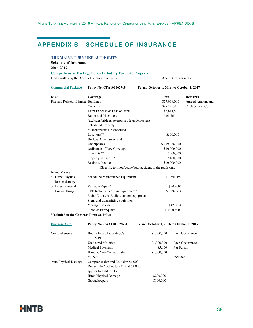## **APPENDIX B - SCHEDULE OF INSURANCE**

#### **THE MAINE TURNPIKE AUTHORITY**

**Schedule of Insurance 2016-2017 Comprehensive Package Policy Including Turnpike Property**

Underwritten by the Acadia Insurance Company Agent: Cross Insurance

**Commercial Package Policy No. CPA1000627-34 Term: October 1, 2016, to October 1, 2017**

| <b>Risk</b>                               | Coverage                                                  | Limit                                    | <b>Remarks</b>    |  |
|-------------------------------------------|-----------------------------------------------------------|------------------------------------------|-------------------|--|
| Fire and Related Blanket Buildings        |                                                           | \$77,039,000                             | Agreed Amount and |  |
|                                           | Contents                                                  | \$27,799,936                             | Replacement Cost  |  |
|                                           | Extra Expense & Loss of Rents                             | \$3,611,500                              |                   |  |
|                                           | Boiler and Machinery                                      | Included                                 |                   |  |
|                                           | (excludes bridges, overpasses & underpasses)              |                                          |                   |  |
|                                           | Scheduled Property:                                       |                                          |                   |  |
|                                           | Miscellaneous Unscheduled                                 |                                          |                   |  |
|                                           | Locations**                                               | \$500,000                                |                   |  |
|                                           | Bridges, Overpasses, and                                  |                                          |                   |  |
|                                           | Underpasses                                               | \$279,388,000                            |                   |  |
|                                           | Ordinance of Law Coverage                                 | \$10,000,000                             |                   |  |
|                                           | Fine Arts**                                               | \$200,000                                |                   |  |
|                                           | Property In Transit*                                      | \$100,000                                |                   |  |
|                                           | Business Income -                                         | \$10,000,000                             |                   |  |
|                                           | (Specific to flood/quake/auto accident to the roads only) |                                          |                   |  |
| <b>Inland Marine</b>                      |                                                           |                                          |                   |  |
| a. Direct Physical<br>loss or damage      | Scheduled Maintenance Equipment                           | \$7,591,190                              |                   |  |
| b. Direct Physical                        | Valuable Papers*                                          | \$500,000                                |                   |  |
| loss or damage                            | EDP Includes E-Z Pass Equipment*<br>\$1,292,714           |                                          |                   |  |
|                                           | Radar Counters, Radios, camera equipment,                 |                                          |                   |  |
|                                           | Signs and transmitting equipment                          |                                          |                   |  |
|                                           | Message Boards<br>\$423,034                               |                                          |                   |  |
|                                           | Flood & Earthquake                                        |                                          | \$10,000,000      |  |
| *Included in the Contents Limit on Policy |                                                           |                                          |                   |  |
| <b>Business Auto</b>                      | Policy No. CAA1000628-34                                  | Term: October 1, 2016 to October 1, 2017 |                   |  |
| Comprehensive                             | Bodily Injury Liability, CSL,<br>BI & PD                  | \$1,000,000                              | Each Occurrence   |  |
|                                           | <b>Uninsured Motorist</b>                                 | \$1,000,000                              | Each Occurrence   |  |
|                                           | <b>Medical Payments</b>                                   | \$5,000                                  | Per Person        |  |
|                                           | Hired & Non-Owned Liability                               | \$1,000,000                              |                   |  |
|                                           | $MCS-90$                                                  |                                          | Included          |  |
| Auto Physical Damage                      | Comprehensive and Collision \$1,000                       |                                          |                   |  |
|                                           | Deductible Applies to PPT and \$3,000                     |                                          |                   |  |
|                                           | applies to light trucks                                   |                                          |                   |  |
|                                           | Hired Physical Damage                                     | \$200,000                                |                   |  |

Garagekeepers \$100,000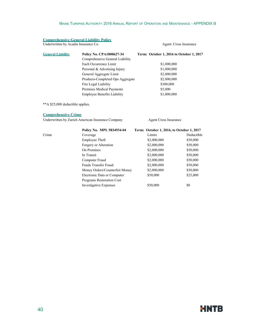#### **Comprehensive General Liability Policy**

Underwritten by Acadia Insurance Co. Agent: Cross Insurance Co.

| <b>General Liability</b> | <b>Policy No. CPA1000627-34</b><br>Comprehensive General Liability | Term: October 1, 2016 to October 1, 2017 |
|--------------------------|--------------------------------------------------------------------|------------------------------------------|
|                          | Each Occurrence Limit                                              | \$1,000,000                              |
|                          | Personal & Advetising Injury                                       | \$1,000,000                              |
|                          | General Aggregate Limit                                            | \$2,000,000                              |
|                          | Products-Completed Ops Aggregate                                   | \$2,000,000                              |
|                          | Fire Legal Liability                                               | \$300,000                                |
|                          | Premises Medical Payments                                          | \$5,000                                  |
|                          | <b>Employee Benefits Liability</b>                                 | \$1,000,000                              |

\*\*A \$25,000 deductible applies.

#### **Comprehensive Crime**

Underwritten by Zurich American Insurance Company Agent Cross Insurance

|       | Policy No. MPL 5834934-04        | Term: October 1, 2016, to October 1, 2017 |            |  |
|-------|----------------------------------|-------------------------------------------|------------|--|
| Crime | Coverage                         | Limits                                    | Deductible |  |
|       | Employee Theft                   | \$2,000,000                               | \$50,000   |  |
|       | Forgery or Alteration            | \$2,000,000                               | \$50,000   |  |
|       | On Premises                      | \$2,000,000                               | \$50,000   |  |
|       | In Transit                       | \$2,000,000                               | \$50,000   |  |
|       | Computer Fraud                   | \$2,000,000                               | \$50,000   |  |
|       | <b>Funds Transfer Fraud</b>      | \$2,000,000                               | \$50,000   |  |
|       | Money Orders/Counterfeit Money   | \$2,000,000                               | \$50,000   |  |
|       | Electronic Data or Computer      | \$50,000                                  | \$25,000   |  |
|       | <b>Programs Restoration Cost</b> |                                           |            |  |
|       | <b>Investigative Expenses</b>    | \$50,000                                  | \$0        |  |

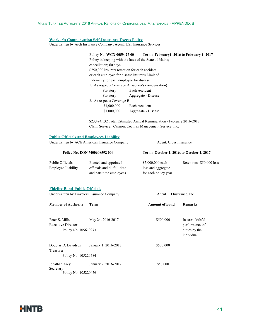#### **Worker's Compensation Self-Insurance Excess Policy**

Underwritten by Arch Insurance Company; Agent: USI Insurance Services

**Policy No. WCX 0059427 00 Term: February1, 2016 to February 1, 2017** Policy in keeping with the laws of the State of Maine; cancellation; 60 days \$750,000 Insurers retention for each accident or each employee for disease insurer's Limit of Indemnity for each employee for disease 1. As respects Coverage A (worker's compensation) Statutory Each Accident Statutory Aggregate - Disease 2. As respects Coverage B \$1,000,000 Each Accident \$1,000,000 Aggregate - Disease

\$23,494,132 Total Estimated Annual Remuneration - February 2016-2017 Claim Service: Cannon, Cochran Management Service, Inc.

#### **Public Officials and Employees Liability**

Underwritten by ACE American Insurance Company Agent: Cross Insurance

| Policy No. EON M00608592 004 |                                                      | Term: October 1, 2016, to October 1, 2017  |                          |  |
|------------------------------|------------------------------------------------------|--------------------------------------------|--------------------------|--|
| Public Officials             | Elected and appointed<br>officials and all full-time | \$5,000,000 each                           | Retention: \$50,000 loss |  |
| <b>Employee Liability</b>    | and part-time employees                              | loss and aggregate<br>for each policy year |                          |  |

#### **Fidelity Bond-Public Officials**

Underwritten by Travelers Insurance Company: Agent TD Insurance, Inc.

| \$500,000 | Insures faithful                              |
|-----------|-----------------------------------------------|
|           | performance of<br>duties by the<br>individual |
| \$500,000 |                                               |
|           |                                               |
| \$50,000  |                                               |
|           |                                               |

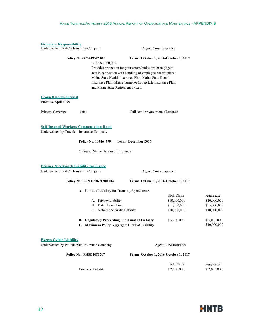| <b>Fiduciary Responsibility</b><br>Underwritten by ACE Insurance Company |                                                                                              | Agent: Cross Insurance                                      |                           |                          |
|--------------------------------------------------------------------------|----------------------------------------------------------------------------------------------|-------------------------------------------------------------|---------------------------|--------------------------|
|                                                                          | Policy No. G25749522 005                                                                     | Term: October 1, 2016-October 1, 2017                       |                           |                          |
|                                                                          | Limit \$2,000,000                                                                            |                                                             |                           |                          |
|                                                                          |                                                                                              | Provides protection for your errors/omissions or negligent  |                           |                          |
|                                                                          |                                                                                              | acts in connection with handling of employee benefit plans: |                           |                          |
|                                                                          |                                                                                              | Maine State Health Insurance Plan; Maine State Dental       |                           |                          |
|                                                                          |                                                                                              | Insurance Plan; Maine Turnpike Group Life Insurance Plan;   |                           |                          |
|                                                                          | and Maine State Retirement System                                                            |                                                             |                           |                          |
| <b>Group Hospital-Surgical</b><br>Effective April 1999                   |                                                                                              |                                                             |                           |                          |
| Primary Coverage                                                         | Aetna                                                                                        | Full semi-private room allowance                            |                           |                          |
|                                                                          | <b>Self-Insured Workers Compensation Bond</b><br>Underwritten by Travelers Insurance Company |                                                             |                           |                          |
|                                                                          | Policy No. 103464379                                                                         | Term: December 2016                                         |                           |                          |
|                                                                          | Obligee: Maine Bureau of Insurance                                                           |                                                             |                           |                          |
|                                                                          | <b>Privacy &amp; Network Liability Insurance</b>                                             |                                                             |                           |                          |
| Underwritten by ACE Insurance Company                                    |                                                                                              | Agent: Cross Insurance                                      |                           |                          |
|                                                                          | Policy No. EON G23691280 004                                                                 | Term: October 1, 2016-October 1, 2017                       |                           |                          |
|                                                                          | A. Limit of Liability for Insuring Agreements                                                |                                                             |                           |                          |
|                                                                          |                                                                                              |                                                             | Each Claim                | Aggregate                |
|                                                                          | A. Privacy Liability                                                                         |                                                             | \$10,000,000              | \$10,000,000             |
|                                                                          | B. Data Breach Fund                                                                          |                                                             | \$1,000,000               | \$5,000,000              |
|                                                                          | C. Network Security Liability                                                                |                                                             | \$10,000,000              | \$10,000,000             |
|                                                                          | B. Regulatory Proceeding Sub-Limit of Liability                                              |                                                             | \$5,000,000               | \$5,000,000              |
|                                                                          | Maximum Policy Aggregate Limit of Liability                                                  |                                                             |                           | \$10,000,000             |
|                                                                          |                                                                                              |                                                             |                           |                          |
| <b>Excess Cyber Liability</b>                                            | Underwritten by Philadelphia Insurance Company                                               |                                                             | Agent: USI Insurance      |                          |
|                                                                          | Policy No. PHSD1081207                                                                       | Term: October 1, 2016-October 1, 2017                       |                           |                          |
|                                                                          |                                                                                              |                                                             |                           |                          |
|                                                                          | Limits of Liability                                                                          |                                                             | Each Claim<br>\$2,000,000 | Aggregate<br>\$2,000,000 |
|                                                                          |                                                                                              |                                                             |                           |                          |